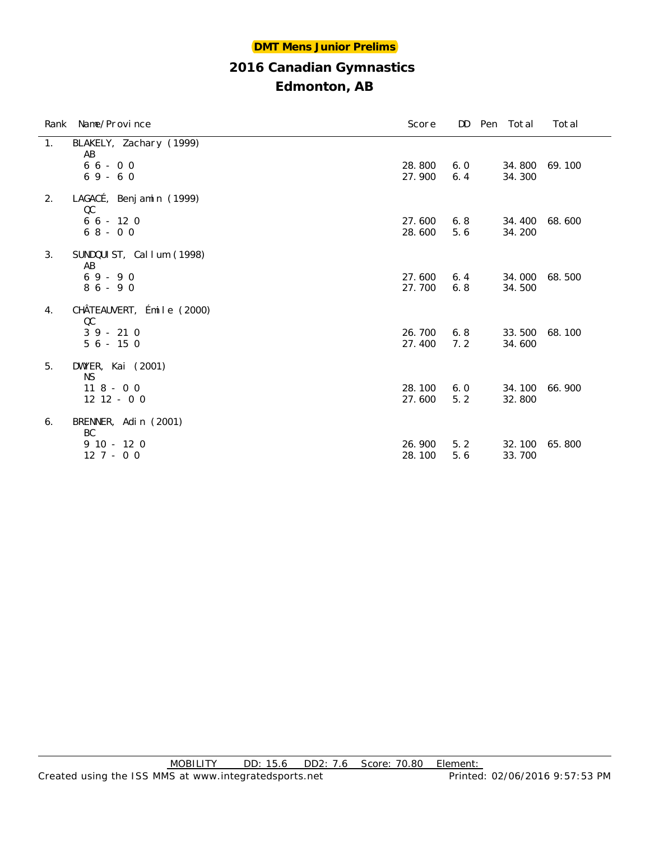#### **DMT Mens Junior Prelims**

## **2016 Canadian Gymnastics**

|    | Rank Name/Province              | Score  | DD  | Pen Total | Total  |
|----|---------------------------------|--------|-----|-----------|--------|
| 1. | BLAKELY, Zachary (1999)<br>AB   |        |     |           |        |
|    | $66 - 00$                       | 28.800 | 6.0 | 34.800    | 69.100 |
|    | $69 - 60$                       | 27.900 | 6.4 | 34.300    |        |
| 2. | LAGACÉ, Benjamin (1999)<br>QC   |        |     |           |        |
|    | $66 - 120$                      | 27.600 | 6.8 | 34.400    | 68.600 |
|    | $68 - 00$                       | 28.600 | 5.6 | 34.200    |        |
| 3. | SUNDQUIST, Callum (1998)<br>AB  |        |     |           |        |
|    | $69 - 90$                       | 27.600 | 6.4 | 34.000    | 68.500 |
|    | $86 - 90$                       | 27.700 | 6.8 | 34.500    |        |
| 4. | CHÂTEAUVERT, Émile (2000)<br>QC |        |     |           |        |
|    | $39 - 210$                      | 26.700 | 6.8 | 33.500    | 68.100 |
|    | $56 - 150$                      | 27.400 | 7.2 | 34.600    |        |
| 5. | DWYER, Kai (2001)<br><b>NS</b>  |        |     |           |        |
|    | $118 - 00$                      | 28.100 | 6.0 | 34.100    | 66.900 |
|    | $12$ $12$ - 0 0                 | 27.600 | 5.2 | 32.800    |        |
| 6. | BRENNER, Adin (2001)<br>BC      |        |     |           |        |
|    | $910 - 120$                     | 26.900 | 5.2 | 32.100    | 65.800 |
|    | $127 - 00$                      | 28.100 | 5.6 | 33.700    |        |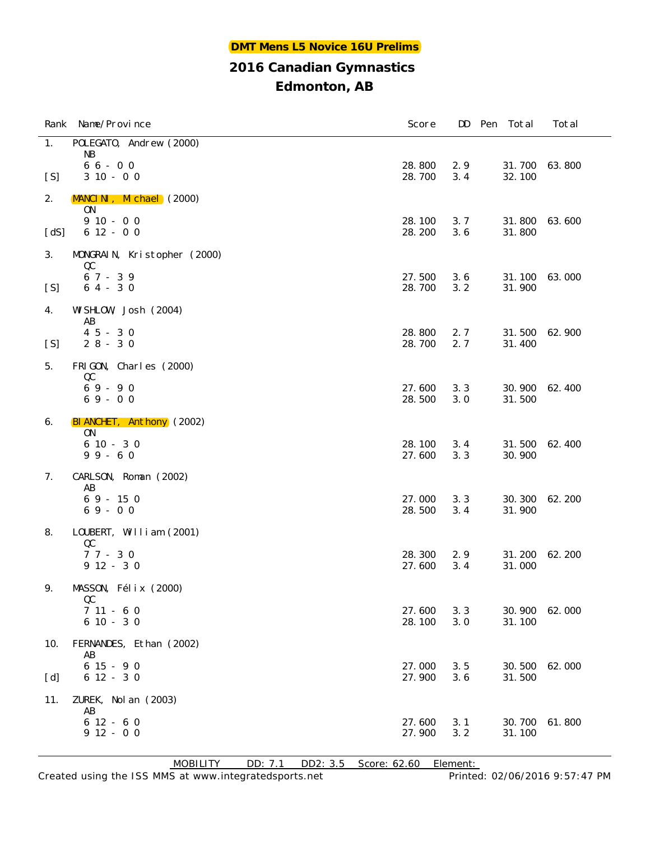## **Edmonton, AB**

|      | Rank Name/Province            | Score            | DD         | Pen Total        | Total  |
|------|-------------------------------|------------------|------------|------------------|--------|
| 1.   | POLEGATO, Andrew (2000)       |                  |            |                  |        |
|      | NB<br>$66 - 00$               | 28.800           | 2.9        | 31.700           | 63.800 |
| [S]  | $310 - 00$                    | 28.700           | 3.4        | 32.100           |        |
| 2.   | MANCINI, Michael (2000)       |                  |            |                  |        |
|      | <b>ON</b><br>$910 - 00$       | 28.100           | 3.7        | 31.800           | 63.600 |
| [dS] | $612 - 00$                    | 28.200           | 3.6        | 31.800           |        |
| 3.   | MONGRAIN, Kristopher (2000)   |                  |            |                  |        |
|      | QC<br>$67 - 39$               | 27.500           | 3.6        | 31.100           | 63.000 |
| [S]  | $64 - 30$                     | 28.700           | 3.2        | 31.900           |        |
| 4.   | WI SHLOW, Josh (2004)<br>AB   |                  |            |                  |        |
|      | $45 - 30$                     | 28.800           | 2.7        | 31.500           | 62.900 |
| [S]  | $28 - 30$                     | 28.700           | 2.7        | 31.400           |        |
| 5.   | FRIGON, Charles (2000)        |                  |            |                  |        |
|      | QC<br>$69 - 90$               | 27.600           | 3.3        | 30.900           | 62.400 |
|      | $69 - 00$                     | 28.500           | 3.0        | 31.500           |        |
| 6.   | BIANCHET, Anthony (2002)      |                  |            |                  |        |
|      | <b>ON</b><br>$610 - 30$       | 28.100           | 3.4        | 31.500           | 62.400 |
|      | $99 - 60$                     | 27.600           | 3.3        | 30.900           |        |
| 7.   | CARLSON, Roman (2002)         |                  |            |                  |        |
|      | AB<br>$69 - 150$              | 27.000           | 3.3        | 30.300           | 62.200 |
|      | $69 - 00$                     | 28.500           | 3.4        | 31.900           |        |
| 8.   | LOUBERT, William (2001)       |                  |            |                  |        |
|      | QC                            |                  |            |                  |        |
|      | $77 - 30$<br>$912 - 30$       | 28.300<br>27.600 | 2.9<br>3.4 | 31.200<br>31.000 | 62.200 |
|      |                               |                  |            |                  |        |
| 9.   | MASSON, Félix (2000)<br>QC    |                  |            |                  |        |
|      | $711 - 60$                    | 27.600           | 3.3        | 30.900           | 62.000 |
|      | $610 - 30$                    | 28.100           | 3.0        | 31.100           |        |
| 10.  | FERNANDES, Ethan (2002)<br>AB |                  |            |                  |        |
|      | $615 - 90$                    | 27.000           | 3.5        | 30.500           | 62.000 |
| [d]  | $612 - 30$                    | 27.900           | 3.6        | 31.500           |        |
| 11.  | ZUREK, Nol an (2003)<br>AB    |                  |            |                  |        |
|      | $612 - 60$                    | 27.600           | 3.1        | 30.700           | 61.800 |
|      | $912 - 00$                    | 27.900           | 3.2        | 31.100           |        |

MOBILITY DD: 7.1 DD2: 3.5 Score: 62.60 Element: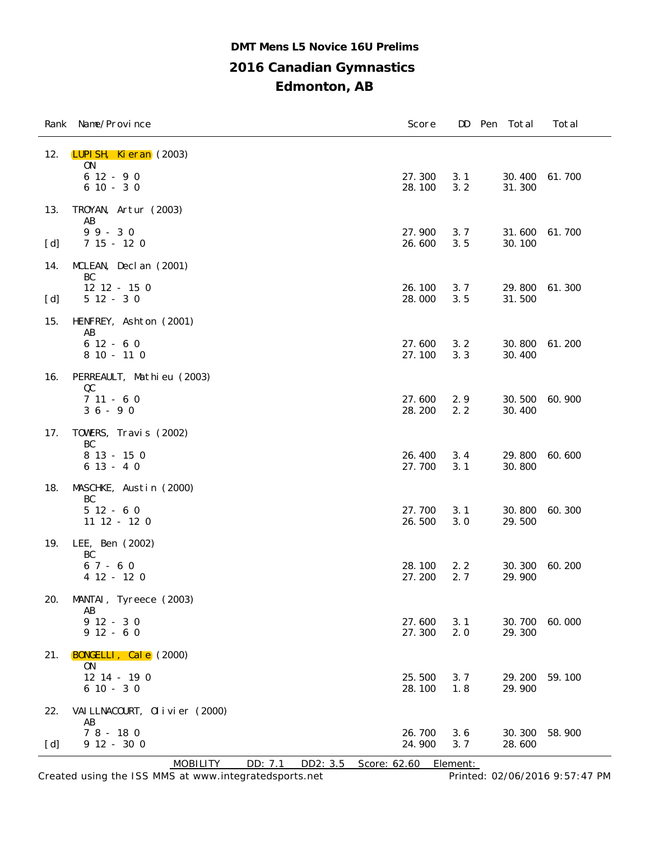## **2016 Canadian Gymnastics Edmonton, AB DMT Mens L5 Novice 16U Prelims**

|            | Rank Name/Province                                                    | Score            | DD         | Pen<br>Total     | Total  |
|------------|-----------------------------------------------------------------------|------------------|------------|------------------|--------|
| 12.        | LUPISH, Kieran (2003)<br>0 <sub>N</sub><br>$612 - 90$<br>$610 - 30$   | 27.300<br>28.100 | 3.1<br>3.2 | 30.400<br>31.300 | 61.700 |
| 13.<br>[d] | TROYAN, Artur (2003)<br>AB<br>$99 - 30$<br>$7\;15\; -\;12\;0$         | 27.900<br>26.600 | 3.7<br>3.5 | 31.600<br>30.100 | 61.700 |
| 14.<br>[d] | MCLEAN, Decl an (2001)<br>BC<br>$12$ $12$ - $15$ 0<br>$512 - 30$      | 26.100<br>28.000 | 3.7<br>3.5 | 29.800<br>31.500 | 61.300 |
| 15.        | HENFREY, Ashton (2001)<br>AB<br>$612 - 60$<br>$810 - 110$             | 27.600<br>27.100 | 3.2<br>3.3 | 30.800<br>30.400 | 61.200 |
| 16.        | PERREAULT, Mathieu (2003)<br>QC<br>$711 - 60$<br>$36 - 90$            | 27.600<br>28.200 | 2.9<br>2.2 | 30.500<br>30.400 | 60.900 |
| 17.        | TOWERS, Travis (2002)<br>BC<br>8 13 - 15 0<br>$613 - 40$              | 26.400<br>27.700 | 3.4<br>3.1 | 29.800<br>30.800 | 60.600 |
| 18.        | MASCHKE, Austin (2000)<br>BC<br>$512 - 60$<br>$11$ $12$ - $12$ 0      | 27.700<br>26.500 | 3.1<br>3.0 | 30.800<br>29.500 | 60.300 |
| 19.        | LEE, Ben (2002)<br>BC<br>$67 - 60$<br>$412 - 120$                     | 28.100<br>27.200 | 2.2<br>2.7 | 30.300<br>29.900 | 60.200 |
| 20.        | MANTAI, Tyreece (2003)<br>AB<br>$912 - 30$<br>$912 - 60$              | 27.600<br>27.300 | 3.1<br>2.0 | 30.700<br>29.300 | 60.000 |
| 21.        | BONGELLI, Cale (2000)<br>0 <sub>N</sub><br>12 14 - 19 0<br>$610 - 30$ | 25.500<br>28.100 | 3.7<br>1.8 | 29.200<br>29.900 | 59.100 |
| 22.<br>[d] | VAI LLNACOURT, Olivier (2000)<br>AB<br>$78 - 180$<br>$9$ 12 - 30 0    | 26.700<br>24.900 | 3.6<br>3.7 | 30.300<br>28.600 | 58.900 |

MOBILITY DD: 7.1 DD2: 3.5 Score: 62.60 Element:

Created using the ISS MMS at www.integratedsports.net Printed: 02/06/2016 9:57:47 PM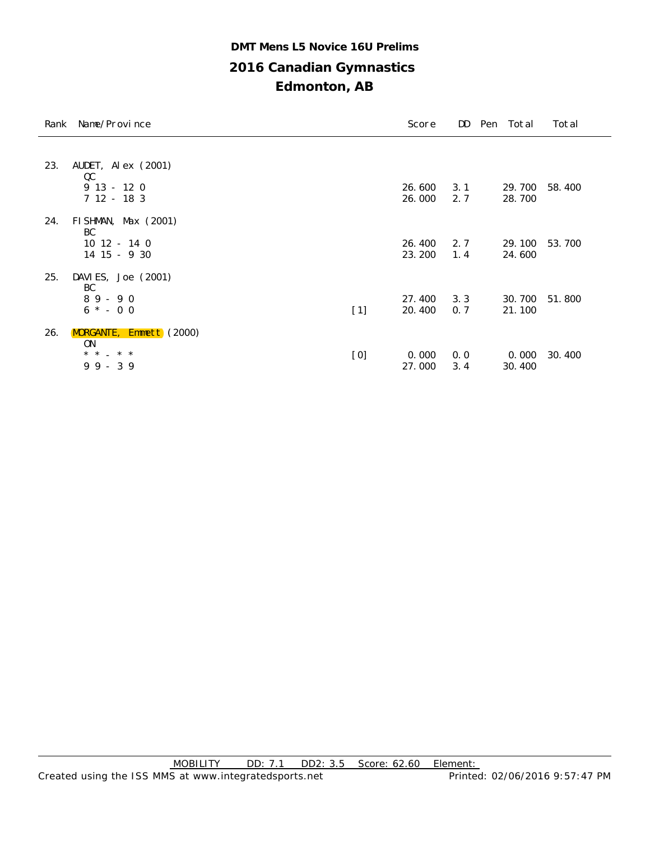## **2016 Canadian Gymnastics Edmonton, AB DMT Mens L5 Novice 16U Prelims**

|     | Rank Name/Province                                                         |       | Score            | DD         | Pen Total        | Total  |
|-----|----------------------------------------------------------------------------|-------|------------------|------------|------------------|--------|
| 23. | AUDET, Al $ex$ (2001)<br>QC                                                |       |                  |            |                  |        |
|     | $913 - 120$<br>$712 - 183$                                                 |       | 26.600<br>26.000 | 3.1<br>2.7 | 29.700<br>28.700 | 58.400 |
| 24. | FI SHMAN, Max $(2001)$<br>BC<br>$10$ $12 - 14$ 0<br>14 15 - 9 30           |       | 26.400<br>23.200 | 2.7<br>1.4 | 29.100<br>24.600 | 53.700 |
| 25. | DAVI ES, Joe (2001)<br>BC<br>$89 - 90$<br>$6 * - 0 0$                      | $[1]$ | 27.400<br>20.400 | 3.3<br>0.7 | 30.700<br>21.100 | 51.800 |
| 26. | <b>MORGANTE, Emmett</b> (2000)<br><b>ON</b><br>$* *$<br>$*$ *<br>$99 - 39$ | [0]   | 0.000<br>27.000  | 0.0<br>3.4 | 0.000<br>30.400  | 30.400 |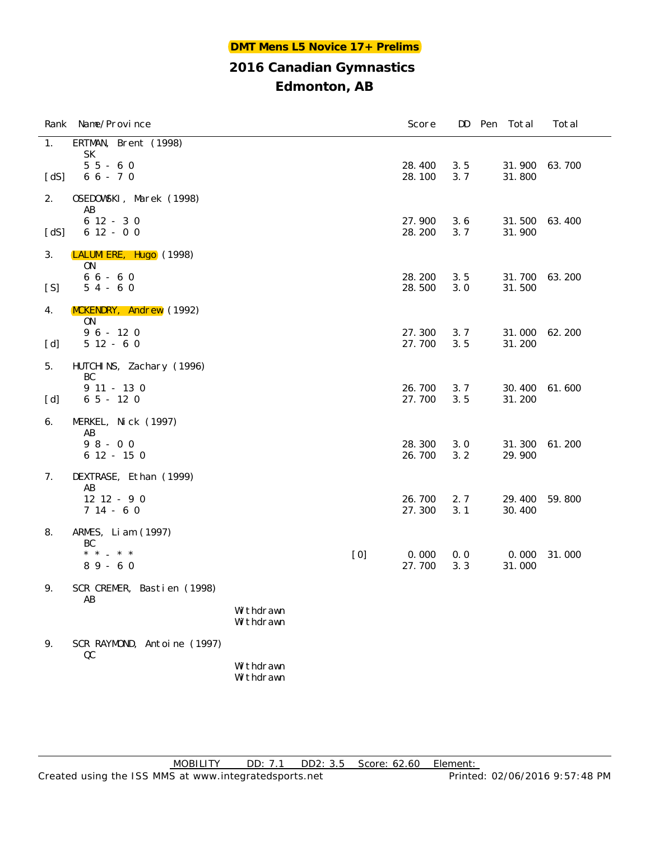| Rank | Name/Province                     |                        |     | Score            | DD         | Pen<br>Total     | Total  |
|------|-----------------------------------|------------------------|-----|------------------|------------|------------------|--------|
| 1.   | ERTMAN, Brent (1998)<br><b>SK</b> |                        |     |                  |            |                  |        |
| [dS] | $55 - 60$<br>$66 - 70$            |                        |     | 28.400<br>28.100 | 3.5<br>3.7 | 31.900<br>31.800 | 63.700 |
| 2.   | OSEDOWSKI, Marek (1998)<br>AB     |                        |     |                  |            |                  |        |
| [dS] | $612 - 30$<br>$612 - 00$          |                        |     | 27.900<br>28.200 | 3.6<br>3.7 | 31.500<br>31.900 | 63.400 |
| 3.   | LALUMI ERE, Hugo (1998)<br>0N     |                        |     |                  |            |                  |        |
| [S]  | $66 - 60$<br>$54 - 60$            |                        |     | 28.200<br>28.500 | 3.5<br>3.0 | 31.700<br>31.500 | 63.200 |
| 4.   | MCKENDRY, Andrew (1992)<br>0N     |                        |     |                  |            |                  |        |
| [d]  | $96 - 120$<br>$512 - 60$          |                        |     | 27.300<br>27.700 | 3.7<br>3.5 | 31.000<br>31.200 | 62.200 |
| 5.   | HUTCHINS, Zachary (1996)<br>BC    |                        |     |                  |            |                  |        |
| [d]  | $9$ 11 - 13 0<br>$65 - 120$       |                        |     | 26.700<br>27.700 | 3.7<br>3.5 | 30.400<br>31.200 | 61.600 |
| 6.   | MERKEL, Nick (1997)<br>AB         |                        |     |                  |            |                  |        |
|      | $98 - 00$<br>6 12 - 15 0          |                        |     | 28.300<br>26.700 | 3.0<br>3.2 | 31.300<br>29.900 | 61.200 |
| 7.   | DEXTRASE, Ethan (1999)<br>AB      |                        |     |                  |            |                  |        |
|      | $12$ $12$ - 9 0<br>$714 - 60$     |                        |     | 26.700<br>27.300 | 2.7<br>3.1 | 29.400<br>30.400 | 59.800 |
| 8.   | ARMES, Liam (1997)<br>BC          |                        |     |                  |            |                  |        |
|      | * * _ * *<br>$89 - 60$            |                        | [0] | 0.000<br>27.700  | 0.0<br>3.3 | 0.000<br>31.000  | 31.000 |
| 9.   | SCR CREMER, Bastien (1998)<br>AB  |                        |     |                  |            |                  |        |
|      |                                   | Withdrawn<br>Withdrawn |     |                  |            |                  |        |
| 9.   | SCR RAYMOND, Antoine (1997)<br>QC |                        |     |                  |            |                  |        |
|      |                                   | Withdrawn<br>Withdrawn |     |                  |            |                  |        |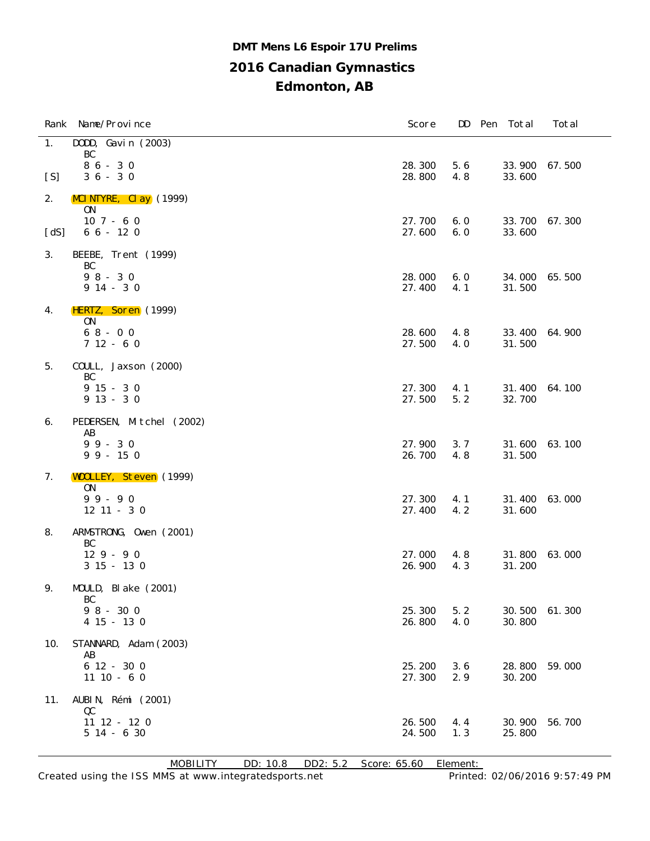## **2016 Canadian Gymnastics Edmonton, AB DMT Mens L6 Espoir 17U Prelims**

|      | Rank Name/Province                      | Score            |            | DD Pen Total     | Total  |
|------|-----------------------------------------|------------------|------------|------------------|--------|
| 1.   | DODD, Gavin (2003)<br>BC                |                  |            |                  |        |
| [S]  | $86 - 30$<br>$36 - 30$                  | 28.300<br>28.800 | 5.6<br>4.8 | 33.900<br>33.600 | 67.500 |
| 2.   | $MCI NTYRE$ , $Cl$ ay $(1999)$          |                  |            |                  |        |
|      | 0 <sub>N</sub><br>$107 - 60$            | 27.700           | 6.0        | 33.700           | 67.300 |
| [dS] | $66 - 120$                              | 27.600           | 6.0        | 33.600           |        |
| 3.   | BEEBE, Trent (1999)<br>BC               |                  |            |                  |        |
|      | $98 - 30$                               | 28.000           | 6.0        | 34.000           | 65.500 |
|      | $914 - 30$                              | 27.400           | 4.1        | 31.500           |        |
| 4.   | HERTZ, Soren (1999)<br>0 <sub>N</sub>   |                  |            |                  |        |
|      | $68 - 00$<br>$712 - 60$                 | 28.600<br>27.500 | 4.8<br>4.0 | 33.400<br>31.500 | 64.900 |
| 5.   | COULL, Jaxson (2000)                    |                  |            |                  |        |
|      | BC<br>$915 - 30$                        | 27.300           | 4.1        | 31.400           | 64.100 |
|      | $913 - 30$                              | 27.500           | 5.2        | 32.700           |        |
| 6.   | PEDERSEN, Mitchel (2002)<br>AB          |                  |            |                  |        |
|      | $99 - 30$<br>$99 - 150$                 | 27.900<br>26.700 | 3.7<br>4.8 | 31.600<br>31.500 | 63.100 |
| 7.   | <b>WOOLLEY, Steven</b> (1999)           |                  |            |                  |        |
|      | 0 <sub>N</sub><br>$99 - 90$             | 27.300           | 4.1        | 31.400           | 63.000 |
|      | $12$ $11$ - 3 0                         | 27.400           | 4.2        | 31.600           |        |
| 8.   | ARMSTRONG, Owen (2001)<br>BC            |                  |            |                  |        |
|      | $129 - 90$<br>$315 - 130$               | 27.000<br>26.900 | 4.8<br>4.3 | 31.800<br>31.200 | 63.000 |
| 9.   | MOULD, Blake (2001)                     |                  |            |                  |        |
|      | BC<br>$98 - 300$                        | 25.300           | 5.2        | 30.500           | 61.300 |
|      | $4\;15\; -\;13\;0$                      | 26.800           | 4.0        | 30.800           |        |
| 10.  | STANNARD, Adam (2003)<br>AB             |                  |            |                  |        |
|      | 6 12 - 30 0<br>$11 10 - 6 0$            | 25.200<br>27.300 | 3.6<br>2.9 | 28.800<br>30.200 | 59.000 |
|      | AUBIN, Rémi (2001)                      |                  |            |                  |        |
| 11.  | QC                                      |                  |            |                  |        |
|      | $11$ $12$ - $12$ 0<br>$5$ $14$ - 6 $30$ | 26.500<br>24.500 | 4.4<br>1.3 | 30.900<br>25.800 | 56.700 |

MOBILITY DD: 10.8 DD2: 5.2 Score: 65.60 Element: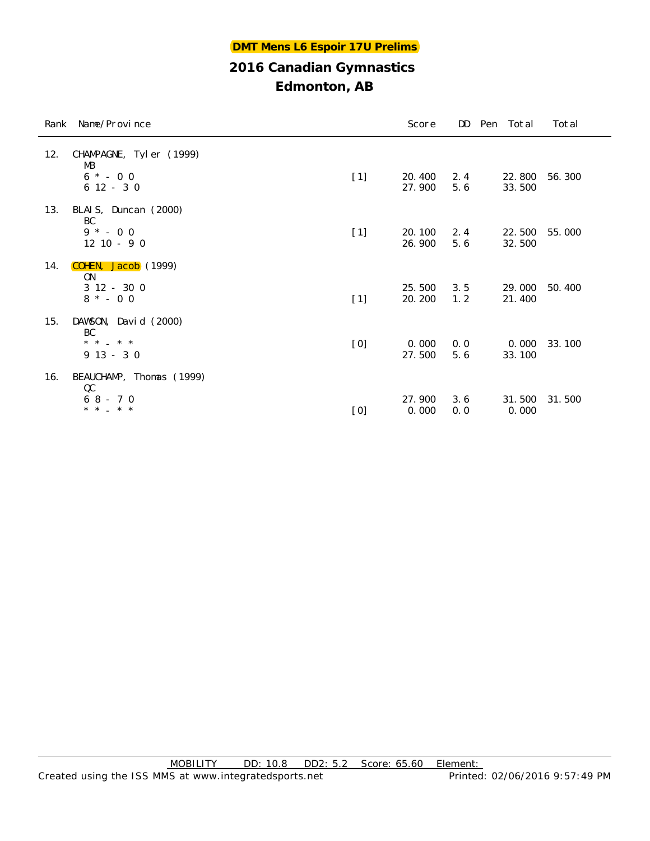|     | Rank Name/Province                                           |       | Score             |            | DD Pen Total     | Total  |
|-----|--------------------------------------------------------------|-------|-------------------|------------|------------------|--------|
| 12. | CHAMPAGNE, Tyler (1999)<br>МB<br>$6 * - 0 0$<br>$612 - 30$   | $[1]$ | 20.400<br>27.900  | 2.4<br>5.6 | 22.800<br>33.500 | 56.300 |
| 13. | BLAIS, Duncan (2000)<br>BC<br>$9 * - 0 0$<br>$12$ $10 - 9$ 0 | $[1]$ | 20.100<br>26.900  | 2.4<br>5.6 | 22.500<br>32.500 | 55.000 |
| 14. | COHEN, Jacob (1999)<br>0N<br>$312 - 300$<br>$8 * - 0 0$      | $[1]$ | 25.500<br>20. 200 | 3.5<br>1.2 | 29.000<br>21.400 | 50.400 |
| 15. | DAWSON, David (2000)<br>BC<br>* * _ * *<br>$913 - 30$        | [0]   | 0.000<br>27.500   | 0.0<br>5.6 | 0.000<br>33.100  | 33.100 |
| 16. | BEAUCHAMP, Thomas (1999)<br>QC<br>$68 - 70$<br>* * _ * *     | [0]   | 27.900<br>0.000   | 3.6<br>0.0 | 31.500<br>0.000  | 31.500 |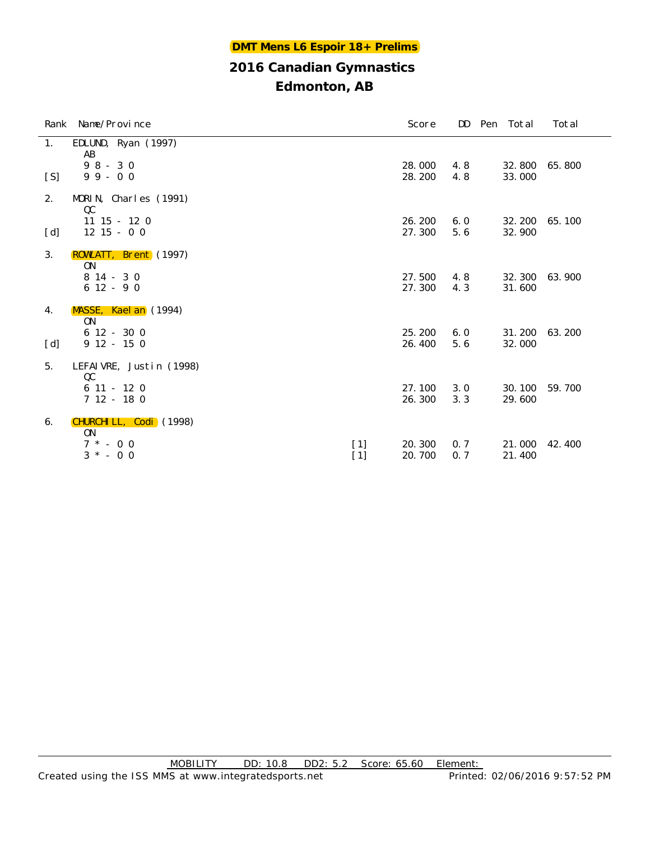| Rank | Name/Province                         |              | Score            | DD         | Pen Total        | Total  |
|------|---------------------------------------|--------------|------------------|------------|------------------|--------|
| 1.   | EDLUND, Ryan (1997)<br>AB             |              |                  |            |                  |        |
| [S]  | $98 - 30$<br>$99 - 00$                |              | 28.000<br>28.200 | 4.8<br>4.8 | 32.800<br>33.000 | 65.800 |
| 2.   | MORIN, Charles (1991)<br>$_{\rm QC}$  |              |                  |            |                  |        |
| [d]  | $11$ $15$ - $12$ 0<br>$12$ $15$ - 0 0 |              | 26.200<br>27.300 | 6.0<br>5.6 | 32.200<br>32.900 | 65.100 |
| 3.   | ROWLATT, Brent (1997)<br>ON           |              |                  |            |                  |        |
|      | $814 - 30$<br>$612 - 90$              |              | 27.500<br>27.300 | 4.8<br>4.3 | 32.300<br>31.600 | 63.900 |
| 4.   | MASSE, Kael an (1994)<br>ON           |              |                  |            |                  |        |
| [d]  | $612 - 300$<br>$912 - 150$            |              | 25.200<br>26.400 | 6.0<br>5.6 | 31.200<br>32.000 | 63.200 |
| 5.   | LEFAIVRE, Justin (1998)<br>QC         |              |                  |            |                  |        |
|      | $611 - 120$<br>$712 - 180$            |              | 27.100<br>26.300 | 3.0<br>3.3 | 30.100<br>29.600 | 59.700 |
| 6.   | CHURCHI LL, Codi (1998)<br><b>ON</b>  |              |                  |            |                  |        |
|      | $7 * - 0 0$<br>$3 * - 0 0$            | $[1]$<br>[1] | 20.300<br>20.700 | 0.7<br>0.7 | 21.000<br>21.400 | 42.400 |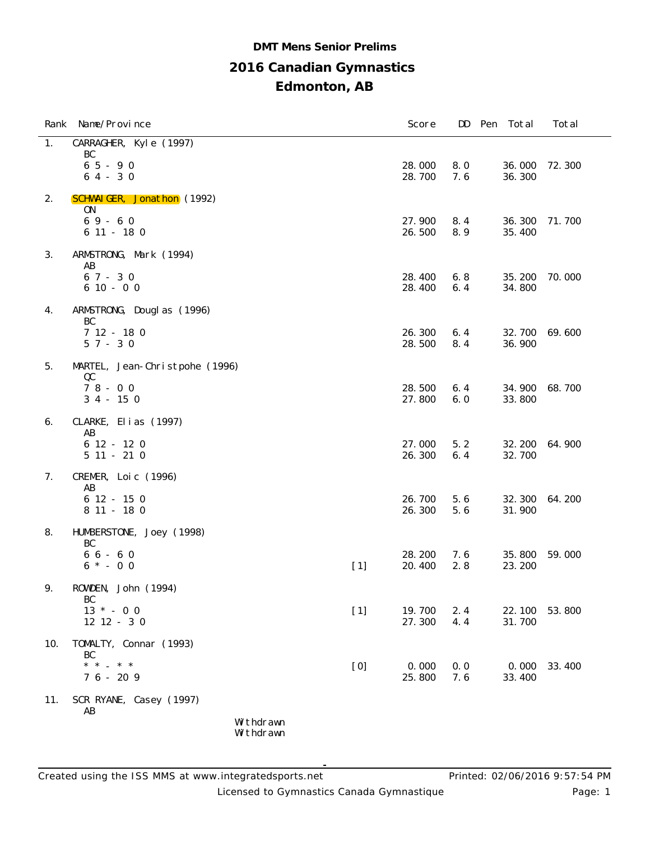## **2016 Canadian Gymnastics Edmonton, AB DMT Mens Senior Prelims**

|     | Rank Name/Province                    |                        |       | Score            | DD         | Pen | Total            | Total  |
|-----|---------------------------------------|------------------------|-------|------------------|------------|-----|------------------|--------|
| 1.  | CARRAGHER, Kyle (1997)                |                        |       |                  |            |     |                  |        |
|     | BC<br>$65 - 90$<br>$64 - 30$          |                        |       | 28.000<br>28.700 | 8.0<br>7.6 |     | 36.000<br>36.300 | 72.300 |
| 2.  | <b>SCHWAIGER, Jonathon</b> (1992)     |                        |       |                  |            |     |                  |        |
|     | <b>ON</b><br>$69 - 60$<br>$611 - 180$ |                        |       | 27.900<br>26.500 | 8.4<br>8.9 |     | 36.300<br>35.400 | 71.700 |
| 3.  | ARMSTRONG, Mark (1994)<br>AB          |                        |       |                  |            |     |                  |        |
|     | $67 - 30$<br>$610 - 00$               |                        |       | 28.400<br>28.400 | 6.8<br>6.4 |     | 35.200<br>34.800 | 70.000 |
| 4.  | ARMSTRONG, Douglas (1996)<br>BC       |                        |       |                  |            |     |                  |        |
|     | $712 - 180$<br>$57 - 30$              |                        |       | 26.300<br>28.500 | 6.4<br>8.4 |     | 32.700<br>36.900 | 69.600 |
| 5.  | MARTEL, Jean-Christpohe (1996)        |                        |       |                  |            |     |                  |        |
|     | QC<br>$78 - 00$<br>$34 - 150$         |                        |       | 28.500<br>27.800 | 6.4<br>6.0 |     | 34.900<br>33.800 | 68.700 |
| 6.  | CLARKE, Elias (1997)                  |                        |       |                  |            |     |                  |        |
|     | AB<br>$612 - 120$<br>$511 - 210$      |                        |       | 27.000<br>26.300 | 5.2<br>6.4 |     | 32.200<br>32.700 | 64.900 |
| 7.  | CREMER, Loic (1996)<br>AB             |                        |       |                  |            |     |                  |        |
|     | $612 - 150$<br>8 11 - 18 0            |                        |       | 26.700<br>26.300 | 5.6<br>5.6 |     | 32.300<br>31.900 | 64.200 |
| 8.  | HUMBERSTONE, Joey (1998)<br>BC        |                        |       |                  |            |     |                  |        |
|     | $66 - 60$<br>$6 * - 0 0$              |                        | $[1]$ | 28.200<br>20.400 | 7.6<br>2.8 |     | 35.800<br>23.200 | 59.000 |
| 9.  | ROWDEN, John (1994)<br>BC             |                        |       |                  |            |     |                  |        |
|     | $13 * - 00$<br>$12$ $12$ - 3 0        |                        | $[1]$ | 19.700<br>27.300 | 2.4<br>4.4 |     | 22.100<br>31.700 | 53.800 |
| 10. | TOMALTY, Connar (1993)<br>BC          |                        |       |                  |            |     |                  |        |
|     | $*$ * $*$ * *<br>$76 - 209$           |                        | [0]   | 0.000<br>25.800  | 0.0<br>7.6 |     | 0.000<br>33.400  | 33.400 |
| 11. | SCR RYANE, Casey (1997)<br>AB         |                        |       |                  |            |     |                  |        |
|     |                                       | Withdrawn<br>Withdrawn |       |                  |            |     |                  |        |

Licensed to Gymnastics Canada Gymnastique **Page: 1** Page: 1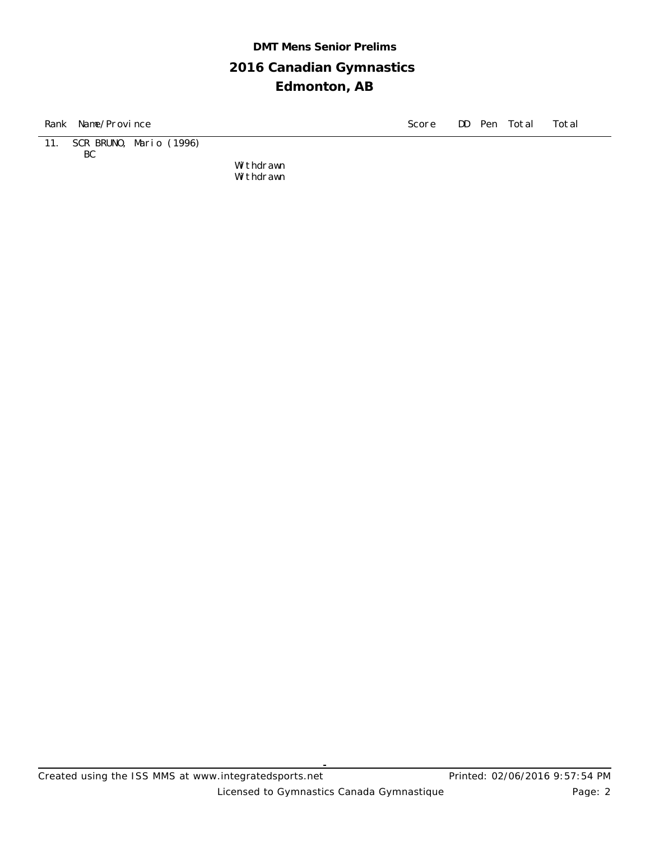## **2016 Canadian Gymnastics Edmonton, AB DMT Mens Senior Prelims**

Rank Name/Province Score DD Pen Total Total Total Total Score DD Pen Total Total Total Total Total Total Total Total Total Total Total Total Total Total Total Total Total Total Total Total Total Total Total Total Total Tot

11. SCR BRUNO, Mario (1996) BC

> Withdrawn Withdrawn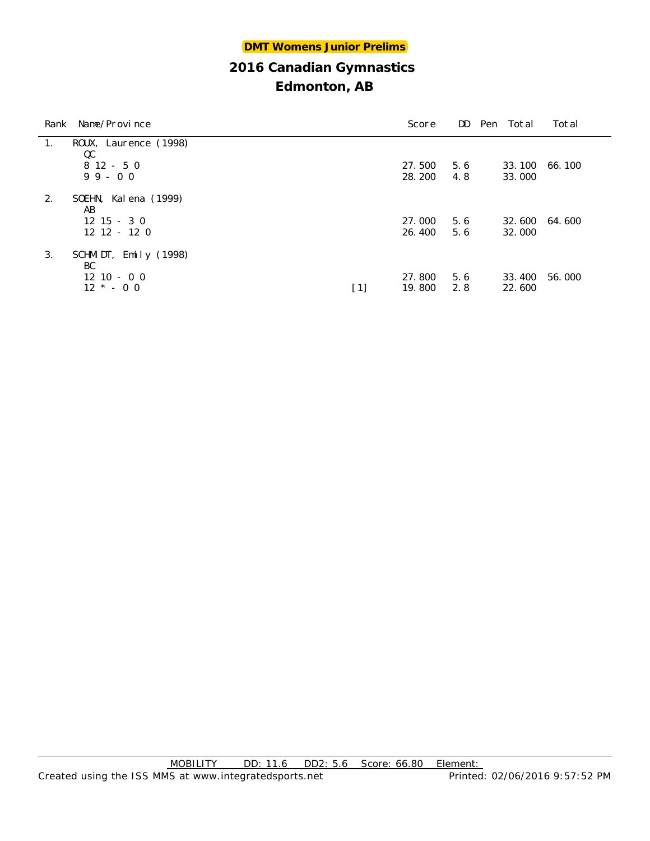| Rank | Name/Province           |     | Score  |     | DD Pen Total  | Total  |
|------|-------------------------|-----|--------|-----|---------------|--------|
| 1.   | ROUX, Laurence (1998)   |     |        |     |               |        |
|      | QC                      |     |        |     |               |        |
|      | $812 - 50$              |     | 27.500 | 5.6 | 33.100        | 66.100 |
|      | $99 - 00$               |     | 28.200 | 4.8 | 33.000        |        |
| 2.   | SOEHN, Kalena (1999)    |     |        |     |               |        |
|      | AB                      |     |        |     |               |        |
|      | $12 \t15 - 3 \t0$       |     | 27.000 | 5.6 | 32.600 64.600 |        |
|      | $12 \t12 - 12 \t0$      |     | 26.400 | 5.6 | 32.000        |        |
| 3.   | SCHMIDT, Emily $(1998)$ |     |        |     |               |        |
|      | BC                      |     |        |     |               |        |
|      | $12 \t10 - 0 \t0$       |     | 27,800 | 5.6 | 33.400        | 56.000 |
|      | $12 * - 00$             | [1] | 19.800 | 2.8 | 22.600        |        |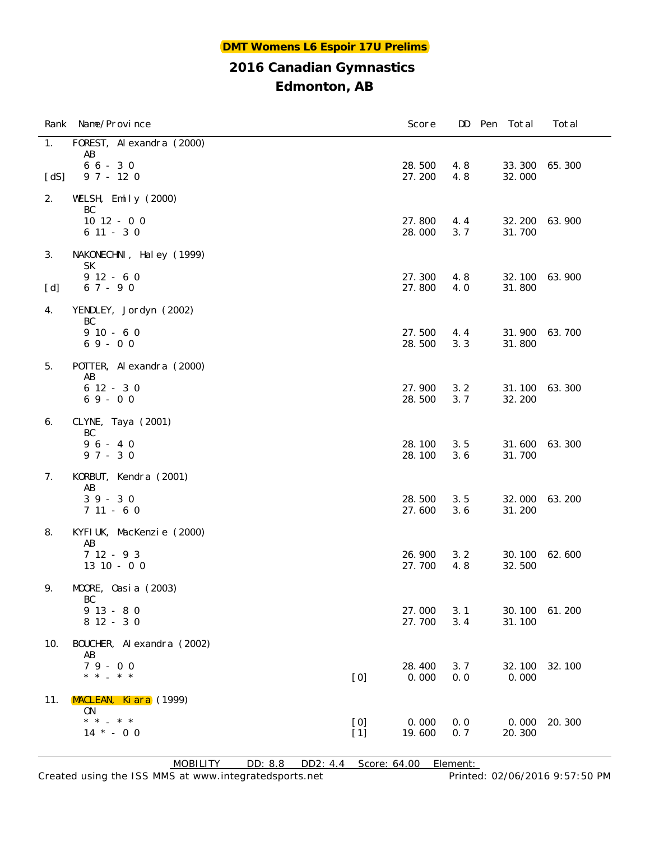## **Edmonton, AB**

|      | Rank Name/Province                  |              | Score            | DD         | Pen Total        | Total  |
|------|-------------------------------------|--------------|------------------|------------|------------------|--------|
| 1.   | FOREST, Al exandra (2000)<br>AB     |              |                  |            |                  |        |
| [dS] | $66 - 30$<br>$97 - 120$             |              | 28.500<br>27.200 | 4.8<br>4.8 | 33.300<br>32.000 | 65.300 |
| 2.   | WELSH, Emily (2000)                 |              |                  |            |                  |        |
|      | BC<br>$10$ $12$ - 0 0<br>$611 - 30$ |              | 27.800<br>28.000 | 4.4<br>3.7 | 32.200<br>31.700 | 63.900 |
| 3.   | NAKONECHNI, Haley (1999)<br>SК      |              |                  |            |                  |        |
| [d]  | $912 - 60$<br>$67 - 90$             |              | 27.300<br>27.800 | 4.8<br>4.0 | 32.100<br>31.800 | 63.900 |
| 4.   | YENDLEY, Jordyn (2002)<br>BC        |              |                  |            |                  |        |
|      | $910 - 60$<br>$69 - 00$             |              | 27.500<br>28.500 | 4.4<br>3.3 | 31.900<br>31.800 | 63.700 |
| 5.   | POTTER, Alexandra (2000)<br>AB      |              |                  |            |                  |        |
|      | $612 - 30$<br>$69 - 00$             |              | 27.900<br>28.500 | 3.2<br>3.7 | 31.100<br>32.200 | 63.300 |
| 6.   | CLYNE, Taya (2001)<br>BC            |              |                  |            |                  |        |
|      | $96 - 40$<br>$97 - 30$              |              | 28.100<br>28.100 | 3.5<br>3.6 | 31.600<br>31.700 | 63.300 |
| 7.   | KORBUT, Kendra (2001)<br>AB         |              |                  |            |                  |        |
|      | $39 - 30$<br>$711 - 60$             |              | 28.500<br>27.600 | 3.5<br>3.6 | 32.000<br>31.200 | 63.200 |
| 8.   | KYFI UK, MacKenzie (2000)<br>AB     |              |                  |            |                  |        |
|      | $712 - 93$<br>$13$ 10 - 0 0         |              | 26.900<br>27.700 | 3.2<br>4.8 | 30.100<br>32.500 | 62.600 |
| 9.   | MOORE, Oasia (2003)<br>BC           |              |                  |            |                  |        |
|      | $913 - 80$<br>$812 - 30$            |              | 27.000<br>27.700 | 3.1<br>3.4 | 30.100<br>31.100 | 61.200 |
| 10.  | BOUCHER, Al exandra (2002)<br>AB    |              |                  |            |                  |        |
|      | $79 - 00$<br>* * _ * *              | [0]          | 28.400<br>0.000  | 3.7<br>0.0 | 32.100<br>0.000  | 32.100 |
| 11.  | MACLEAN, Kiara (1999)<br>0N         |              |                  |            |                  |        |
|      | $*$ * $-$ * *<br>$14 * - 00$        | [0]<br>$[1]$ | 0.000<br>19.600  | 0.0<br>0.7 | 0.000<br>20.300  | 20.300 |

MOBILITY DD: 8.8 DD2: 4.4 Score: 64.00 Element: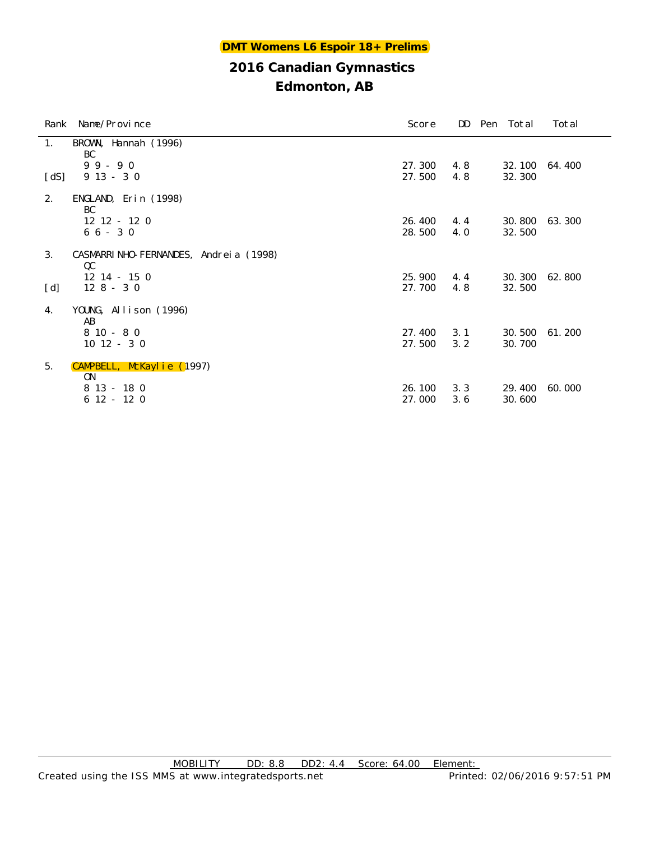| BROWN, Hannah (1996)<br>1.<br>BC<br>$99 - 90$<br>27.300<br>4.8<br>32.100<br>64.400<br>$913 - 30$<br>$\lceil dS \rceil$<br>27.500<br>4.8<br>32.300<br>2.<br>ENGLAND, Erin (1998)<br>BC<br>$12$ $12$ - $12$ 0<br>30.800<br>63.300<br>26.400<br>4.4<br>$66 - 30$<br>28.500<br>32.500<br>4.0<br>3.<br>CASMARRI NHO-FERNANDES, Andreia (1998)<br>QC<br>$12$ $14$ - $15$ 0<br>25, 900<br>30.300<br>62.800<br>4.4<br>[d]<br>$128 - 30$<br>27.700<br>32.500<br>4.8<br>YOUNG, Allison (1996)<br>4.<br>AB<br>$810 - 80$<br>3.1<br>30.500<br>61.200<br>27.400<br>$10$ $12 - 30$<br>3.2<br>30.700<br>27.500 | Rank Name/Province | Score | DD | Pen Total | Total |
|-------------------------------------------------------------------------------------------------------------------------------------------------------------------------------------------------------------------------------------------------------------------------------------------------------------------------------------------------------------------------------------------------------------------------------------------------------------------------------------------------------------------------------------------------------------------------------------------------|--------------------|-------|----|-----------|-------|
|                                                                                                                                                                                                                                                                                                                                                                                                                                                                                                                                                                                                 |                    |       |    |           |       |
|                                                                                                                                                                                                                                                                                                                                                                                                                                                                                                                                                                                                 |                    |       |    |           |       |
|                                                                                                                                                                                                                                                                                                                                                                                                                                                                                                                                                                                                 |                    |       |    |           |       |
|                                                                                                                                                                                                                                                                                                                                                                                                                                                                                                                                                                                                 |                    |       |    |           |       |
|                                                                                                                                                                                                                                                                                                                                                                                                                                                                                                                                                                                                 |                    |       |    |           |       |
|                                                                                                                                                                                                                                                                                                                                                                                                                                                                                                                                                                                                 |                    |       |    |           |       |
|                                                                                                                                                                                                                                                                                                                                                                                                                                                                                                                                                                                                 |                    |       |    |           |       |
|                                                                                                                                                                                                                                                                                                                                                                                                                                                                                                                                                                                                 |                    |       |    |           |       |
|                                                                                                                                                                                                                                                                                                                                                                                                                                                                                                                                                                                                 |                    |       |    |           |       |
|                                                                                                                                                                                                                                                                                                                                                                                                                                                                                                                                                                                                 |                    |       |    |           |       |
|                                                                                                                                                                                                                                                                                                                                                                                                                                                                                                                                                                                                 |                    |       |    |           |       |
|                                                                                                                                                                                                                                                                                                                                                                                                                                                                                                                                                                                                 |                    |       |    |           |       |
|                                                                                                                                                                                                                                                                                                                                                                                                                                                                                                                                                                                                 |                    |       |    |           |       |
|                                                                                                                                                                                                                                                                                                                                                                                                                                                                                                                                                                                                 |                    |       |    |           |       |
| 5.<br>CAMPBELL, McKaylie (1997)<br>0N                                                                                                                                                                                                                                                                                                                                                                                                                                                                                                                                                           |                    |       |    |           |       |
| 3.3<br>$813 - 180$<br>26.100<br>29.400<br>60.000                                                                                                                                                                                                                                                                                                                                                                                                                                                                                                                                                |                    |       |    |           |       |
| $612 - 120$<br>27.000<br>30.600<br>3.6                                                                                                                                                                                                                                                                                                                                                                                                                                                                                                                                                          |                    |       |    |           |       |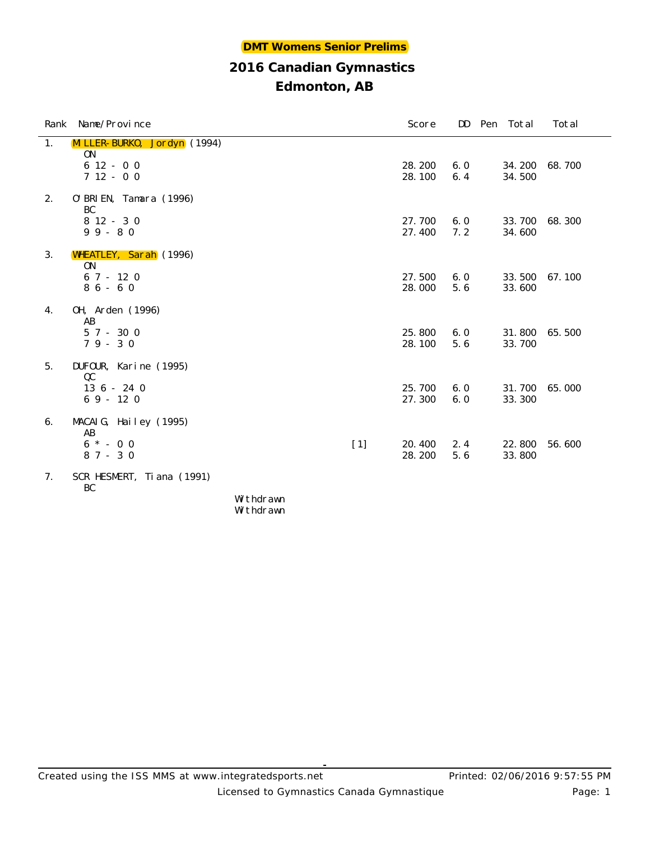## **Edmonton, AB**

| Rank Name/Province                                  |       | Score            | DD         | Pen Total        | Total  |
|-----------------------------------------------------|-------|------------------|------------|------------------|--------|
| MILLER-BURKO, Jordyn (1994)<br>1.<br>0 <sub>N</sub> |       |                  |            |                  |        |
| $612 - 00$<br>$712 - 00$                            |       | 28.200<br>28.100 | 6.0<br>6.4 | 34.200<br>34.500 | 68.700 |
| 2.<br>0' BRI EN, Tamara (1996)<br>BC                |       |                  |            |                  |        |
| $812 - 30$<br>$99 - 80$                             |       | 27.700<br>27.400 | 6.0<br>7.2 | 33.700<br>34.600 | 68.300 |
| 3.<br><b>WHEATLEY, Sarah</b> (1996)<br>ON           |       |                  |            |                  |        |
| $67 - 120$<br>$86 - 60$                             |       | 27.500<br>28.000 | 6.0<br>5.6 | 33.500<br>33.600 | 67.100 |
| 0H, Arden (1996)<br>4.<br>AB                        |       |                  |            |                  |        |
| $57 - 300$<br>$79 - 30$                             |       | 25.800<br>28.100 | 6.0<br>5.6 | 31.800<br>33.700 | 65.500 |
| 5.<br>DUFOUR, Karine (1995)<br>QC                   |       |                  |            |                  |        |
| $136 - 240$<br>$69 - 120$                           |       | 25.700<br>27.300 | 6.0<br>6.0 | 31.700<br>33.300 | 65.000 |
| MACAIG, Hailey (1995)<br>6.<br>AB                   |       |                  |            |                  |        |
| $6 * - 0 0$<br>$87 - 30$                            | $[1]$ | 20.400<br>28.200 | 2.4<br>5.6 | 22.800<br>33.800 | 56.600 |
| SCR HESMERT, Ti ana (1991)<br>7.<br>BC              |       |                  |            |                  |        |
| Withdrawn                                           |       |                  |            |                  |        |

Withdrawn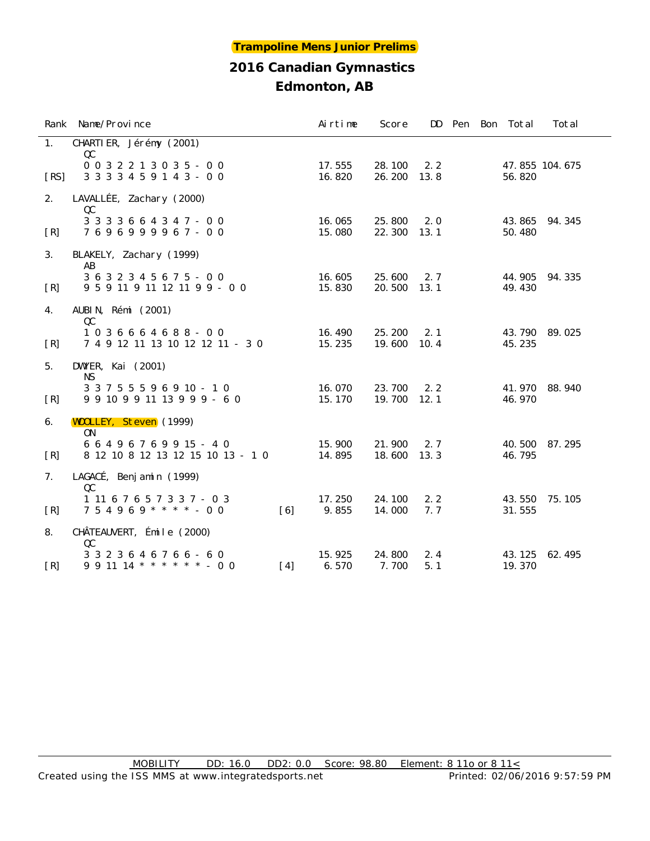|      | Rank Name/Province                                                      |                   | Airtime          | Score            |             |  | DD Pen Bon Total | Total          |
|------|-------------------------------------------------------------------------|-------------------|------------------|------------------|-------------|--|------------------|----------------|
| 1.   | CHARTIER, Jérémy (2001)                                                 |                   |                  |                  |             |  |                  |                |
| [RS] | QC<br>$0032213035 - 00$<br>3 3 3 3 4 5 9 1 4 3 - 0 0                    |                   | 17.555<br>16.820 | 28.100<br>26.200 | 2.2<br>13.8 |  | 56.820           | 47.855 104.675 |
| 2.   | LAVALLÉE, Zachary (2000)                                                |                   |                  |                  |             |  |                  |                |
| [R]  | QC<br>3 3 3 3 6 6 4 3 4 7 - 0 0<br>7696999967-00                        |                   | 16.065<br>15.080 | 25.800<br>22.300 | 2.0<br>13.1 |  | 43.865<br>50.480 | 94.345         |
| 3.   | BLAKELY, Zachary (1999)<br>AB                                           |                   |                  |                  |             |  |                  |                |
| [R]  | 3 6 3 2 3 4 5 6 7 5 - 0 0<br>9 5 9 11 9 11 12 11 9 9 - 0 0              |                   | 16.605<br>15.830 | 25.600<br>20.500 | 2.7<br>13.1 |  | 44.905<br>49.430 | 94.335         |
| 4.   | AUBIN, Rémi (2001)                                                      |                   |                  |                  |             |  |                  |                |
| [R]  | QC<br>1036664688-00<br>7 4 9 12 11 13 10 12 12 11 - 3 0                 |                   | 16.490<br>15.235 | 25.200<br>19.600 | 2.1<br>10.4 |  | 43.790<br>45.235 | 89.025         |
| 5.   | DWYER, Kai (2001)                                                       |                   |                  |                  |             |  |                  |                |
| [R]  | <b>NS</b><br>3 3 7 5 5 5 9 6 9 10 - 1 0<br>9 9 10 9 9 11 13 9 9 9 - 6 0 |                   | 16.070<br>15.170 | 23.700<br>19.700 | 2.2<br>12.1 |  | 41.970<br>46.970 | 88.940         |
| 6.   | <b>WOOLLEY, Steven</b> (1999)                                           |                   |                  |                  |             |  |                  |                |
| [R]  | ON<br>6 6 4 9 6 7 6 9 9 15 - 4 0<br>8 12 10 8 12 13 12 15 10 13 - 10    |                   | 15.900<br>14.895 | 21.900<br>18.600 | 2.7<br>13.3 |  | 40.500<br>46.795 | 87.295         |
| 7.   | LAGACÉ, Benjamin (1999)                                                 |                   |                  |                  |             |  |                  |                |
| [R]  | QC<br>1 11 6 7 6 5 7 3 3 7 - 0 3<br>$754969$ * * * * - 00               | $\lceil 6 \rceil$ | 17.250<br>9.855  | 24.100<br>14.000 | 2.2<br>7.7  |  | 43.550<br>31.555 | 75.105         |
| 8.   | CHÂTEAUVERT, Émile (2000)<br>QC                                         |                   |                  |                  |             |  |                  |                |
| [R]  | 3 3 2 3 6 4 6 7 6 6 - 6 0<br>$9\ 9\ 11\ 14$ * * * * * * - 0 0           | $[4]$             | 15.925<br>6.570  | 24.800<br>7.700  | 2.4<br>5.1  |  | 43.125<br>19.370 | 62.495         |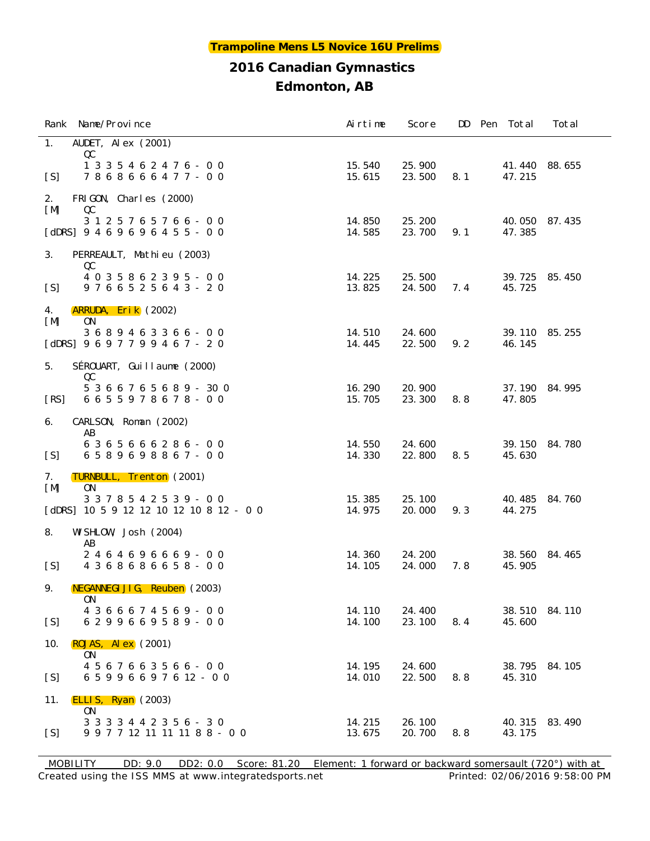| Rank Name/Province                                                                 | Airtime          | Score            |     | DD Pen Total     | Total  |
|------------------------------------------------------------------------------------|------------------|------------------|-----|------------------|--------|
| AUDET, Al ex $(2001)$<br>1.                                                        |                  |                  |     |                  |        |
| QC<br>1 3 3 5 4 6 2 4 7 6 - 0 0<br>7868666477-00<br>[S]                            | 15.540<br>15.615 | 25.900<br>23.500 | 8.1 | 41.440<br>47.215 | 88.655 |
| 2.<br>FRIGON, Charles (2000)                                                       |                  |                  |     |                  |        |
| [M]<br>QC<br>3 1 2 5 7 6 5 7 6 6 - 0 0<br>$[dDRS] 9 4 6 9 6 9 6 4 5 5 - 0 0$       | 14.850<br>14.585 | 25.200<br>23.700 | 9.1 | 40.050<br>47.385 | 87.435 |
| 3.<br>PERREAULT, Mathieu (2003)                                                    |                  |                  |     |                  |        |
| QC<br>4 0 3 5 8 6 2 3 9 5 - 0 0<br>9 7 6 6 5 2 5 6 4 3 - 2 0<br>[S]                | 14.225<br>13.825 | 25.500<br>24.500 | 7.4 | 39.725<br>45.725 | 85.450 |
| 4.<br><b>ARRUDA, Erik</b> (2002)<br>0 <sub>N</sub><br>[M]                          |                  |                  |     |                  |        |
| 3689463366-00<br>[dDRS] $9697799467 - 20$                                          | 14.510<br>14.445 | 24.600<br>22.500 | 9.2 | 39.110<br>46.145 | 85.255 |
| SÉROUART, Guillaume (2000)<br>5.                                                   |                  |                  |     |                  |        |
| QC<br>5 3 6 6 7 6 5 6 8 9 - 30 0<br>6655978678-00<br>[RS]                          | 16.290<br>15.705 | 20.900<br>23.300 | 8.8 | 37.190<br>47.805 | 84.995 |
| CARLSON, Roman (2002)<br>6.<br>AB                                                  |                  |                  |     |                  |        |
| 6365666286-00<br>[S]<br>6589698867-00                                              | 14.550<br>14.330 | 24.600<br>22.800 | 8.5 | 39.150<br>45.630 | 84.780 |
| TURNBULL, Trenton (2001)<br>7.<br>[M]<br>0N                                        |                  |                  |     |                  |        |
| 3 3 7 8 5 4 2 5 3 9 - 0 0<br>[dDRS] $10\ 5\ 9\ 12\ 12\ 10\ 12\ 10\ 8\ 12\ -\ 0\ 0$ | 15.385<br>14.975 | 25.100<br>20.000 | 9.3 | 40.485<br>44.275 | 84.760 |
| WI SHLOW, Josh (2004)<br>8.<br>AB                                                  |                  |                  |     |                  |        |
| 2464696669-00<br>4 3 6 8 6 8 6 6 5 8 - 0 0<br>[S]                                  | 14.360<br>14.105 | 24.200<br>24.000 | 7.8 | 38.560<br>45.905 | 84.465 |
| NEGANNEGI JI G, Reuben (2003)<br>9.<br>0 <sub>N</sub>                              |                  |                  |     |                  |        |
| 4 3 6 6 6 7 4 5 6 9 - 0 0<br>[S]<br>6 2 9 9 6 6 9 5 8 9 - 0 0                      | 14.110<br>14.100 | 24.400<br>23.100 | 8.4 | 38.510<br>45.600 | 84.110 |
| ROJAS, Al $ex$ (2001)<br>10.<br>0 <sub>N</sub>                                     |                  |                  |     |                  |        |
| 4 5 6 7 6 6 3 5 6 6 - 0 0<br>[S]<br>6 5 9 9 6 6 9 7 6 12 - 0 0                     | 14.195<br>14.010 | 24.600<br>22.500 | 8.8 | 38.795<br>45.310 | 84.105 |
| ELLIS, Ryan $(2003)$<br>11.<br>ON                                                  |                  |                  |     |                  |        |
| 3 3 3 3 4 4 2 3 5 6 - 3 0<br>[S]<br>9 9 7 7 12 11 11 11 8 8 - 0 0                  | 14.215<br>13.675 | 26.100<br>20.700 | 8.8 | 40.315<br>43.175 | 83.490 |

Created using the ISS MMS at www.integratedsports.net Printed: 02/06/2016 9:58:00 PM MOBILITY DD: 9.0 DD2: 0.0 Score: 81.20 Element: 1 forward or backward somersault (720°) with at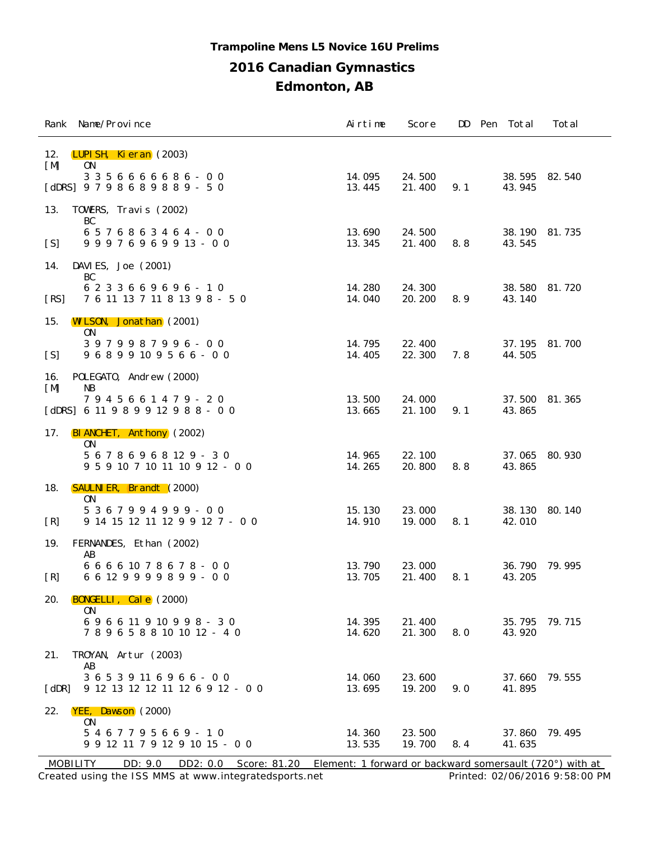## **Trampoline Mens L5 Novice 16U Prelims**

## **2016 Canadian Gymnastics**

**Edmonton, AB**

|             | Rank Name/Province                                                    | Airtime          | Score            | DD  | Pen Total               | Total  |
|-------------|-----------------------------------------------------------------------|------------------|------------------|-----|-------------------------|--------|
| 12.<br>[M]  | LUPI SH, Kieran (2003)<br>0 <sub>N</sub><br>3 3 5 6 6 6 6 6 8 6 - 0 0 | 14.095           | 24.500           |     | 38.595 82.540           |        |
|             | [dDRS] $9798689889 - 50$                                              | 13.445           | 21.400           | 9.1 | 43.945                  |        |
| 13.         | TOWERS, Travis (2002)<br>BC                                           |                  |                  |     |                         |        |
| [S]         | 6 5 7 6 8 6 3 4 6 4 - 0 0<br>$99976969913 - 00$                       | 13.690<br>13.345 | 24.500<br>21.400 | 8.8 | 38.190<br>43.545        | 81.735 |
| 14.         | DAVIES, Joe $(2001)$<br>BC                                            |                  |                  |     |                         |        |
| [RS]        | 6 2 3 3 6 6 9 6 9 6 - 1 0<br>7 6 11 13 7 11 8 13 9 8 - 5 0            | 14.280<br>14.040 | 24.300<br>20.200 | 8.9 | 38.580<br>43.140        | 81.720 |
| 15.         | <b>WILSON, Jonathan</b> (2001)<br>0 <sub>N</sub>                      |                  |                  |     |                         |        |
| [S]         | 3979987996-00<br>96899109566-00                                       | 14.795<br>14.405 | 22.400<br>22.300 | 7.8 | 37.195<br>44.505        | 81.700 |
| 16.<br>[M]  | POLEGATO, Andrew (2000)<br>NB                                         |                  |                  |     |                         |        |
|             | 7945661479 - 20<br>[dDRS] $6 11 9 8 9 9 12 9 8 8 - 0 0$               | 13.500<br>13.665 | 24.000<br>21.100 | 9.1 | 37.500<br>43.865        | 81.365 |
| 17.         | BIANCHET, Anthony (2002)<br>0N                                        |                  |                  |     |                         |        |
|             | 5 6 7 8 6 9 6 8 12 9 - 3 0<br>9 5 9 10 7 10 11 10 9 12 - 0 0          | 14.965<br>14.265 | 22.100<br>20.800 | 8.8 | 37.065<br>43.865        | 80.930 |
| 18.         | <b>SAULNI ER, Brandt</b> (2000)<br>0N                                 |                  |                  |     |                         |        |
| [R]         | 5 3 6 7 9 9 4 9 9 9 - 0 0<br>9 14 15 12 11 12 9 9 12 7 - 0 0          | 15.130<br>14.910 | 23.000<br>19.000 | 8.1 | 38.130<br>42.010        | 80.140 |
| 19.         | FERNANDES, Ethan (2002)<br>AB                                         |                  |                  |     |                         |        |
| [R]         | 6 6 6 6 10 7 8 6 7 8 - 0 0<br>6 6 12 9 9 9 9 8 9 9 - 0 0              | 13.790<br>13.705 | 23.000<br>21.400 | 8.1 | 36.790<br>43.205        | 79.995 |
| 20.         | $BONGELLI$ , $Cal e$ (2000)                                           |                  |                  |     |                         |        |
|             | 0N<br>696611910998 - 30<br>7 8 9 6 5 8 8 10 10 12 - 4 0               | 14.395<br>14.620 | 21.400<br>21.300 | 8.0 | 35.795<br>43.920        | 79.715 |
| 21.         | TROYAN, Artur (2003)                                                  |                  |                  |     |                         |        |
| $[$ dDR $]$ | AB<br>3 6 5 3 9 11 6 9 6 6 - 0 0<br>9 12 13 12 12 11 12 6 9 12 - 0 0  | 14.060<br>13.695 | 23.600<br>19.200 | 9.0 | 37.660<br>41.895        | 79.555 |
| 22.         | YEE, Dawson (2000)<br>0N                                              |                  |                  |     |                         |        |
|             | 5467795669-10<br>9 9 12 11 7 9 12 9 10 15 - 0 0                       | 14.360<br>13.535 | 23.500<br>19.700 | 8.4 | 37.860 79.495<br>41.635 |        |

Created using the ISS MMS at www.integratedsports.net Printed: 02/06/2016 9:58:00 PM MOBILITY DD: 9.0 DD2: 0.0 Score: 81.20 Element: 1 forward or backward somersault (720°) with at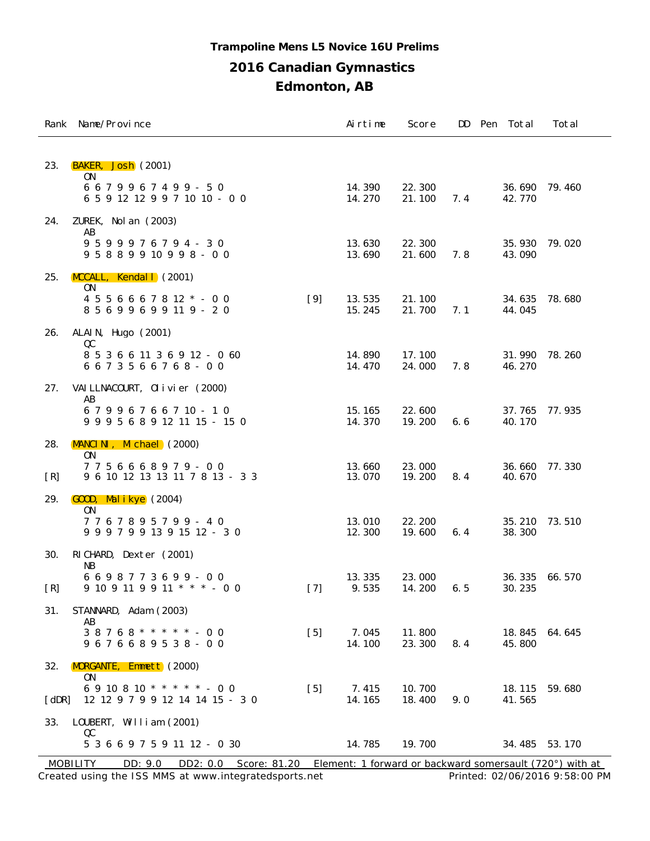#### **Trampoline Mens L5 Novice 16U Prelims**

#### **2016 Canadian Gymnastics**

**Edmonton, AB**

|                       | Rank Name/Province                                                             |       | Airtime          | Score            |     | DD Pen Total     | Total  |
|-----------------------|--------------------------------------------------------------------------------|-------|------------------|------------------|-----|------------------|--------|
| 23.                   | BAKER, Josh (2001)<br>0N                                                       |       |                  |                  |     |                  |        |
|                       | 6679967499-50<br>6 5 9 12 12 9 9 7 10 10 - 0 0                                 |       | 14.390<br>14.270 | 22.300<br>21.100 | 7.4 | 36.690<br>42.770 | 79.460 |
| 24.                   | ZUREK, Nol an (2003)<br>AB                                                     |       |                  |                  |     |                  |        |
|                       | $9599976794 - 30$<br>$9 5 8 8 9 9 10 9 9 8 - 0 0$                              |       | 13.630<br>13.690 | 22.300<br>21.600 | 7.8 | 35.930<br>43.090 | 79.020 |
| 25.                   | MCCALL, Kendall (2001)<br><b>ON</b><br>$4\ 5\ 5\ 6\ 6\ 6\ 7\ 8\ 12\ * -\ 0\ 0$ | $[9]$ | 13.535           | 21.100           |     | 34.635           | 78.680 |
|                       | 8 5 6 9 9 6 9 9 11 9 - 2 0                                                     |       | 15.245           | 21.700           | 7.1 | 44.045           |        |
| 26.                   | ALAI N, Hugo $(2001)$<br>QC                                                    |       |                  |                  |     |                  |        |
|                       | 8 5 3 6 6 11 3 6 9 12 - 0 60<br>6673566768-00                                  |       | 14.890<br>14.470 | 17.100<br>24.000 | 7.8 | 31.990<br>46.270 | 78.260 |
| 27.                   | VAI LLNACOURT, Olivier (2000)<br>AB                                            |       |                  |                  |     |                  |        |
|                       | 67996766710-10<br>9 9 9 5 6 8 9 12 11 15 - 15 0                                |       | 15.165<br>14.370 | 22.600<br>19.200 | 6.6 | 37.765<br>40.170 | 77.935 |
| 28.                   | MANCINI, Michael (2000)<br>0N                                                  |       |                  |                  |     |                  |        |
| [R]                   | 7756668979-00<br>9 6 10 12 13 13 11 7 8 13 - 3 3                               |       | 13.660<br>13.070 | 23.000<br>19.200 | 8.4 | 36.660<br>40.670 | 77.330 |
| 29.                   | $GOOD$ , Malikye $(2004)$<br>0N                                                |       |                  |                  |     |                  |        |
|                       | 7767895799-40<br>9 9 9 7 9 9 13 9 15 12 - 3 0                                  |       | 13.010<br>12.300 | 22.200<br>19.600 | 6.4 | 35.210<br>38.300 | 73.510 |
| 30.                   | RICHARD, Dexter (2001)<br><b>NB</b>                                            |       |                  |                  |     |                  |        |
| [R]                   | 6698773699-00<br>$9$ 10 9 11 9 9 11 * * * - 0 0                                | $[7]$ | 13.335<br>9.535  | 23.000<br>14.200 | 6.5 | 36.335<br>30.235 | 66.570 |
| 31.                   | STANNARD, Adam (2003)<br>AB                                                    |       |                  |                  |     |                  |        |
|                       | $38768$ * * * * * - 00<br>9676689538-00                                        | $[5]$ | 7.045<br>14.100  | 11.800<br>23.300 | 8.4 | 18.845<br>45.800 | 64.645 |
| 32.                   | <b>MORGANTE, Emmett</b> (2000)<br>0N                                           |       |                  |                  |     |                  |        |
| $\lceil$ dDR $\rceil$ | 6 9 10 8 10 * * * * * - 0 0<br>12 12 9 7 9 9 12 14 14 15 - 3 0                 | $[5]$ | 7.415<br>14.165  | 10.700<br>18.400 | 9.0 | 18.115<br>41.565 | 59.680 |
| 33.                   | LOUBERT, William (2001)<br>QC                                                  |       |                  |                  |     |                  |        |
|                       | 5 3 6 6 9 7 5 9 11 12 - 0 30                                                   |       | 14.785           | 19.700           |     | 34.485 53.170    |        |

Created using the ISS MMS at www.integratedsports.net Printed: 02/06/2016 9:58:00 PM MOBILITY DD: 9.0 DD2: 0.0 Score: 81.20 Element: 1 forward or backward somersault (720°) with at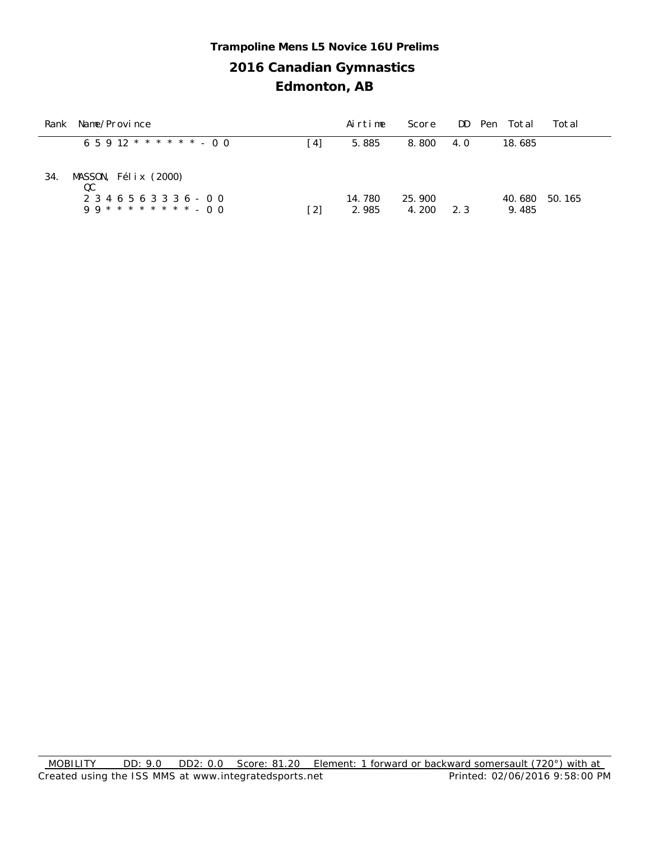## **2016 Canadian Gymnastics Edmonton, AB Trampoline Mens L5 Novice 16U Prelims**

| Rank | Name/Province                                           |     | Airtime         | Score           |     | DD Pen Total<br>Total     |
|------|---------------------------------------------------------|-----|-----------------|-----------------|-----|---------------------------|
|      | $6.5.912$ * * * * * * - 0.0                             | [4] | 5.885           | 8.800           | 4.0 | 18.685                    |
| 34.  | MASSON, Félix (2000)<br>QC<br>2 3 4 6 5 6 3 3 3 6 - 0 0 | [2] | 14.780<br>2.985 | 25.900<br>4.200 | 2.3 | 40.680<br>50.165<br>9.485 |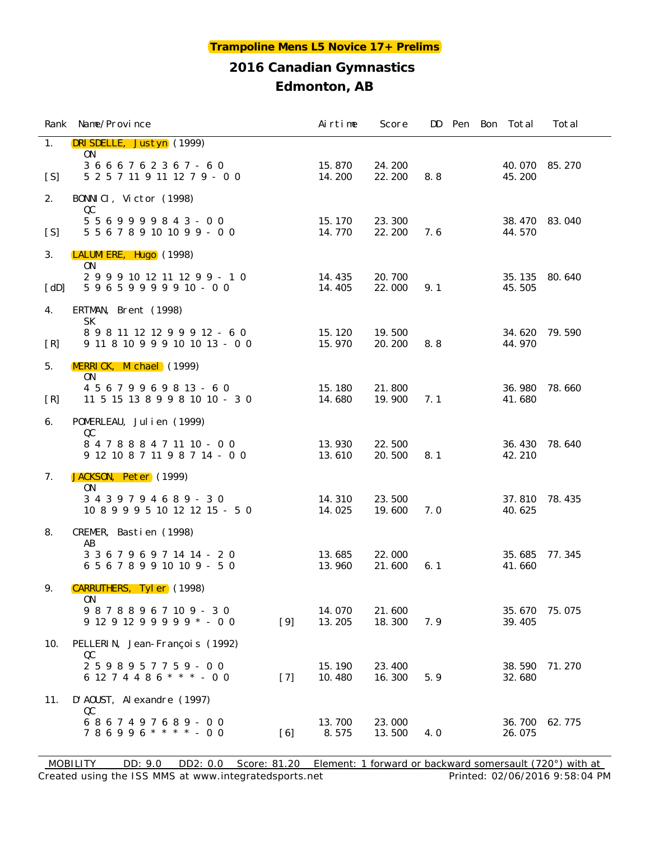|      | Rank Name/Province                                                                     |       | Airtime          | Score            |     |  | DD Pen Bon Total | Total  |
|------|----------------------------------------------------------------------------------------|-------|------------------|------------------|-----|--|------------------|--------|
| 1.   | DRISDELLE, Justyn (1999)<br>0N<br>3666762367-60                                        |       | 15.870           | 24.200           |     |  | 40.070           | 85.270 |
| [S]  | 5 2 5 7 11 9 11 12 7 9 - 0 0                                                           |       | 14.200           | 22.200           | 8.8 |  | 45.200           |        |
| 2.   | BONNICI, Victor (1998)<br>QC                                                           |       |                  |                  |     |  |                  |        |
| [S]  | $5569999843 - 00$<br>5 5 6 7 8 9 10 10 9 9 - 0 0                                       |       | 15.170<br>14.770 | 23.300<br>22.200 | 7.6 |  | 38.470<br>44.570 | 83.040 |
| 3.   | LALUMI ERE, Hugo (1998)<br>0N                                                          |       |                  |                  |     |  |                  |        |
| [dD] | 2 9 9 9 10 12 11 12 9 9 - 1 0<br>$59659999910 - 00$                                    |       | 14.435<br>14.405 | 20.700<br>22.000 | 9.1 |  | 35.135<br>45.505 | 80.640 |
| 4.   | ERTMAN, Brent (1998)<br><b>SK</b>                                                      |       |                  |                  |     |  |                  |        |
| [R]  | 8 9 8 11 12 12 9 9 9 12 - 6 0<br>9 11 8 10 9 9 9 10 10 13 - 0 0                        |       | 15.120<br>15.970 | 19.500<br>20.200 | 8.8 |  | 34.620<br>44.970 | 79.590 |
| 5.   | MERRICK, Michael (1999)<br>ON.                                                         |       |                  |                  |     |  |                  |        |
| [R]  | 4 5 6 7 9 9 6 9 8 13 - 6 0<br>11 5 15 13 8 9 9 8 10 10 - 3 0                           |       | 15.180<br>14.680 | 21.800<br>19.900 | 7.1 |  | 36.980<br>41.680 | 78.660 |
| 6.   | POMERLEAU, Julien (1999)<br>QC                                                         |       |                  |                  |     |  |                  |        |
|      | 8 4 7 8 8 8 4 7 11 10 - 0 0<br>$9 \ 12 \ 10 \ 8 \ 7 \ 11 \ 9 \ 8 \ 7 \ 14 \ - \ 0 \ 0$ |       | 13.930<br>13.610 | 22.500<br>20.500 | 8.1 |  | 36.430<br>42.210 | 78.640 |
| 7.   | JACKSON, Peter (1999)<br><b>ON</b>                                                     |       |                  |                  |     |  |                  |        |
|      | 3439794689-30<br>10 8 9 9 9 5 10 12 12 15 - 5 0                                        |       | 14.310<br>14.025 | 23.500<br>19.600 | 7.0 |  | 37.810<br>40.625 | 78.435 |
| 8.   | CREMER, Bastien (1998)<br>AB                                                           |       |                  |                  |     |  |                  |        |
|      | 3 3 6 7 9 6 9 7 14 14 - 2 0<br>6 5 6 7 8 9 9 10 10 9 - 5 0                             |       | 13.685<br>13.960 | 22.000<br>21.600 | 6.1 |  | 35.685<br>41.660 | 77.345 |
| 9.   | CARRUTHERS, Tyler (1998)<br>0 <sub>N</sub>                                             |       |                  |                  |     |  |                  |        |
|      | 98788967109-30<br>$912912999998 - 00$                                                  | $[9]$ | 14.070<br>13.205 | 21.600<br>18.300 | 7.9 |  | 35.670<br>39.405 | 75.075 |
| 10.  | PELLERIN, Jean-François (1992)                                                         |       |                  |                  |     |  |                  |        |
|      | QC<br>$2598957759 - 00$<br>6 12 7 4 4 8 6 * * * - 0 0                                  | $[7]$ | 15.190<br>10.480 | 23.400<br>16.300 | 5.9 |  | 38.590<br>32.680 | 71.270 |
| 11.  | D'AOUST, Alexandre (1997)                                                              |       |                  |                  |     |  |                  |        |
|      | QC<br>6867497689-00<br>$786996$ ****-00                                                | [6]   | 13.700<br>8.575  | 23.000<br>13.500 | 4.0 |  | 36.700<br>26.075 | 62.775 |

Created using the ISS MMS at www.integratedsports.net Printed: 02/06/2016 9:58:04 PM MOBILITY DD: 9.0 DD2: 0.0 Score: 81.20 Element: 1 forward or backward somersault (720°) with at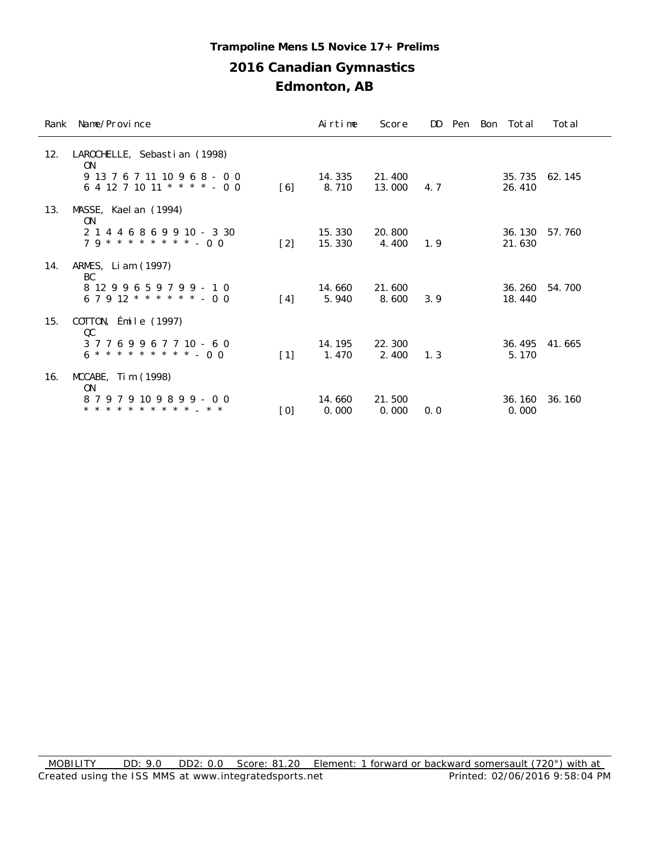#### **Trampoline Mens L5 Novice 17+ Prelims**

## **2016 Canadian Gymnastics**

|     | Rank Name/Province                                                                | Airtime          | Score            |     |  | DD Pen Bon Total  | Total  |
|-----|-----------------------------------------------------------------------------------|------------------|------------------|-----|--|-------------------|--------|
| 12. | LAROCHELLE, Sebastian (1998)<br>0 <sub>N</sub>                                    |                  |                  |     |  |                   |        |
|     | 9 13 7 6 7 11 10 9 6 8 - 0 0<br>6 4 12 7 10 11 * * * * - 0 0<br>$\lceil 6 \rceil$ | 14.335<br>8.710  | 21.400<br>13.000 | 4.7 |  | 35, 735<br>26.410 | 62.145 |
| 13. | MASSE, Kael an (1994)<br>0N                                                       |                  |                  |     |  |                   |        |
|     | 2 1 4 4 6 8 6 9 9 10 - 3 30<br>$79***********--00$<br>$[2]$                       | 15.330<br>15.330 | 20.800<br>4.400  | 1.9 |  | 36.130<br>21.630  | 57.760 |
| 14. | ARMES, Liam (1997)<br>BC                                                          |                  |                  |     |  |                   |        |
|     | 8 12 9 9 6 5 9 7 9 9 - 1 0<br>$67912$ * * * * * * - 00<br>$\lceil 4 \rceil$       | 14.660<br>5.940  | 21.600<br>8.600  | 3.9 |  | 36.260<br>18.440  | 54.700 |
| 15. | COTTON, Émile (1997)<br>QC                                                        |                  |                  |     |  |                   |        |
|     | 37769967710-60<br>$\lceil 1 \rceil$                                               | 14.195<br>1.470  | 22.300<br>2.400  | 1.3 |  | 36.495<br>5.170   | 41.665 |
| 16. | $MCCABE$ , Tim $(1998)$<br>0N                                                     |                  |                  |     |  |                   |        |
|     | 87979109899-00<br>* * * * * * * * * * * _ * *<br>[0]                              | 14.660<br>0.000  | 21.500<br>0.000  | 0.0 |  | 36.160<br>0.000   | 36.160 |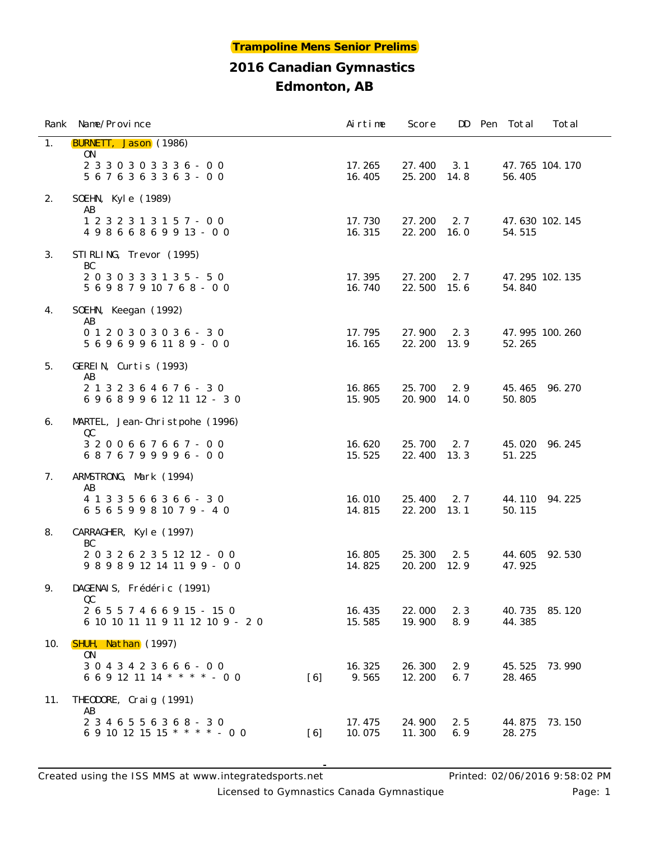|     | Rank Name/Province                                                    |     | Airtime          | Score            |             | DD Pen Total     | Total          |
|-----|-----------------------------------------------------------------------|-----|------------------|------------------|-------------|------------------|----------------|
| 1.  | <b>BURNETT, Jason</b> (1986)<br>ON.                                   |     |                  |                  |             |                  |                |
|     | $23303033336 - 00$<br>5 6 7 6 3 6 3 3 6 3 - 0 0                       |     | 17.265<br>16.405 | 27.400<br>25.200 | 3.1<br>14.8 | 56.405           | 47.765 104.170 |
| 2.  | SOEHN, Kyle (1989)                                                    |     |                  |                  |             |                  |                |
|     | AB<br>1 2 3 2 3 1 3 1 5 7 - 0 0<br>49866869913-00                     |     | 17.730<br>16.315 | 27.200<br>22.200 | 2.7<br>16.0 | 54.515           | 47.630 102.145 |
| 3.  | STIRLING, Trevor (1995)                                               |     |                  |                  |             |                  |                |
|     | BC<br>2030333135 - 50<br>5 6 9 8 7 9 10 7 6 8 - 0 0                   |     | 17.395<br>16.740 | 27.200<br>22.500 | 2.7<br>15.6 | 54.840           | 47.295 102.135 |
| 4.  | SOEHN, Keegan (1992)                                                  |     |                  |                  |             |                  |                |
|     | AB<br>$0 1 2 0 3 0 3 0 3 6 - 3 0$<br>5 6 9 6 9 9 6 11 8 9 - 0 0       |     | 17.795<br>16.165 | 27.900<br>22.200 | 2.3<br>13.9 | 52.265           | 47.995 100.260 |
| 5.  | GEREIN, Curtis (1993)                                                 |     |                  |                  |             |                  |                |
|     | AB<br>2 1 3 2 3 6 4 6 7 6 - 3 0<br>6968996121112-30                   |     | 16.865<br>15.905 | 25.700<br>20.900 | 2.9<br>14.0 | 45.465<br>50.805 | 96.270         |
| 6.  | MARTEL, Jean-Christpohe (1996)                                        |     |                  |                  |             |                  |                |
|     | QC<br>3 2 0 0 6 6 7 6 6 7 - 0 0<br>6876799996-00                      |     | 16.620<br>15.525 | 25.700<br>22.400 | 2.7<br>13.3 | 45.020<br>51.225 | 96.245         |
| 7.  | ARMSTRONG, Mark (1994)<br>AB                                          |     |                  |                  |             |                  |                |
|     | 4 1 3 3 5 6 6 3 6 6 - 3 0<br>6 5 6 5 9 9 8 10 7 9 - 4 0               |     | 16.010<br>14.815 | 25.400<br>22.200 | 2.7<br>13.1 | 44.110<br>50.115 | 94.225         |
| 8.  | CARRAGHER, Kyle (1997)                                                |     |                  |                  |             |                  |                |
|     | BC<br>2 0 3 2 6 2 3 5 12 12 - 0 0<br>9898912141199-00                 |     | 16.805<br>14.825 | 25.300<br>20.200 | 2.5<br>12.9 | 44.605<br>47.925 | 92.530         |
| 9.  | DAGENAIS, Frédéric (1991)                                             |     |                  |                  |             |                  |                |
|     | QC<br>2 6 5 5 7 4 6 6 9 15 - 15 0<br>6 10 10 11 11 9 11 12 10 9 - 2 0 |     | 16.435<br>15.585 | 22.000<br>19.900 | 2.3<br>8.9  | 40.735<br>44.385 | 85.120         |
| 10. | SHUH, Nathan (1997)                                                   |     |                  |                  |             |                  |                |
|     | ON.<br>3 0 4 3 4 2 3 6 6 6 - 0 0<br>6 6 9 12 11 14 * * * * - 0 0      | [6] | 16.325<br>9.565  | 26.300<br>12.200 | 2.9<br>6.7  | 45.525<br>28.465 | 73.990         |
| 11. | THEODORE, Craig (1991)<br>AB                                          |     |                  |                  |             |                  |                |
|     | 2 3 4 6 5 5 6 3 6 8 - 3 0<br>6 9 10 12 15 15 * * * * - 0 0            | [6] | 17.475<br>10.075 | 24.900<br>11.300 | 2.5<br>6.9  | 44.875<br>28.275 | 73.150         |

Licensed to Gymnastics Canada Gymnastique **Page: 1** Page: 1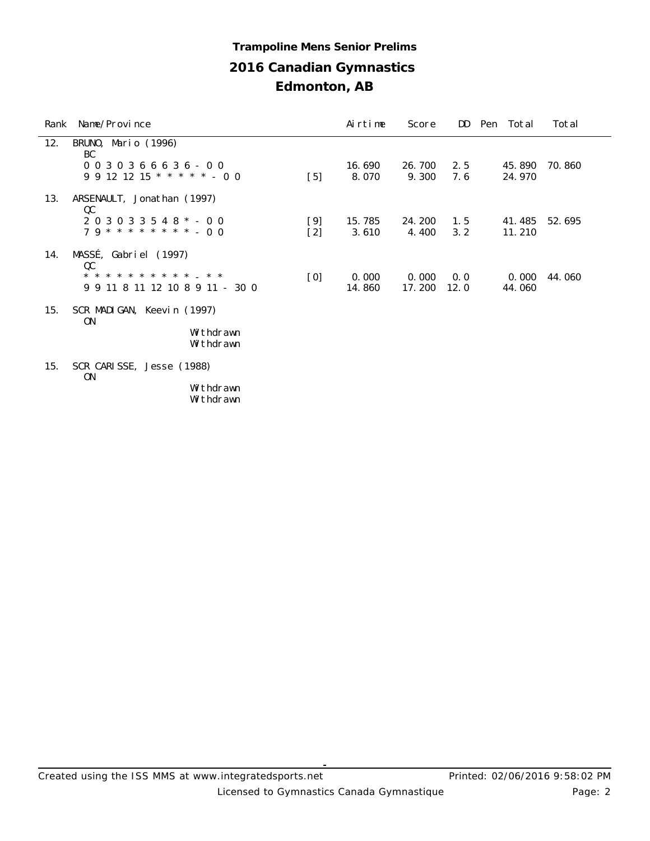## **2016 Canadian Gymnastics Edmonton, AB Trampoline Mens Senior Prelims**

| Rank | Name/Province                               |                   | Airtime | Score  | DD   | Pen Total | Total  |
|------|---------------------------------------------|-------------------|---------|--------|------|-----------|--------|
| 12.  | BRUNO, Mario (1996)<br>BC                   |                   |         |        |      |           |        |
|      | $0030366636 - 00$                           |                   | 16.690  | 26.700 | 2.5  | 45.890    | 70.860 |
|      | $9\ 9\ 12\ 12\ 15$ * * * * * - 0 0          | $[5]$             | 8.070   | 9.300  | 7.6  | 24.970    |        |
| 13.  | ARSENAULT, Jonathan (1997)<br>QC            |                   |         |        |      |           |        |
|      | $203033548$ * - 00                          | [9]               | 15.785  | 24.200 | 1.5  | 41.485    | 52.695 |
|      | $79$ * * * * * * * * - 00                   | $[2]$             | 3.610   | 4.400  | 3.2  | 11.210    |        |
| 14.  | MASSÉ, Gabriel (1997)<br>QC                 |                   |         |        |      |           |        |
|      | * * * * * * * * * *<br>$* *$                | $\lceil 0 \rceil$ | 0.000   | 0.000  | 0.0  | 0.000     | 44.060 |
|      | 9 9 11 8 11 12 10 8 9 11 - 30 0             |                   | 14.860  | 17.200 | 12.0 | 44.060    |        |
| 15.  | SCR MADIGAN, Keevin (1997)<br>0N            |                   |         |        |      |           |        |
|      | Withdrawn                                   |                   |         |        |      |           |        |
|      | Withdrawn                                   |                   |         |        |      |           |        |
| 15.  | SCR CARISSE, Jesse (1988)<br>0 <sub>N</sub> |                   |         |        |      |           |        |
|      | Withdrawn                                   |                   |         |        |      |           |        |

Withdrawn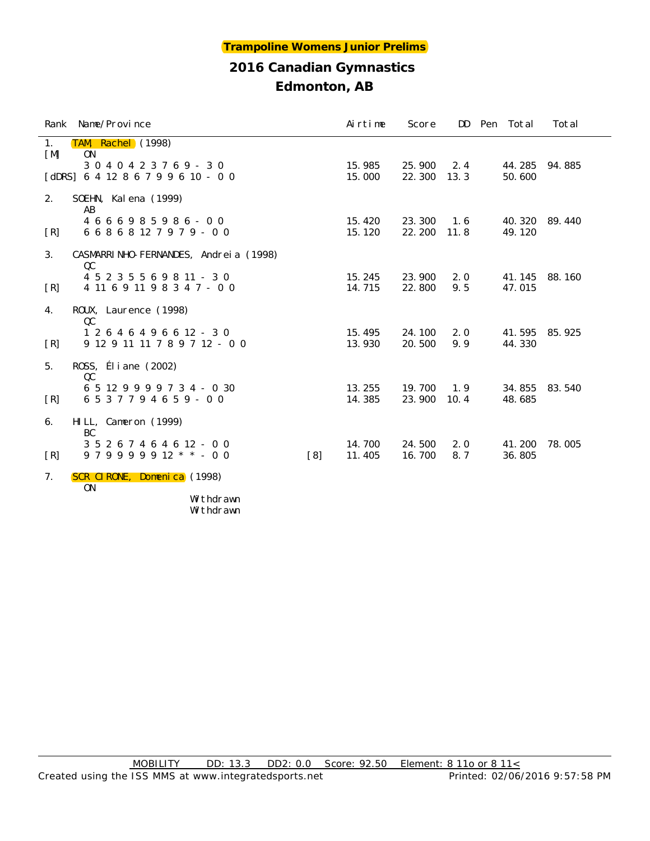| Rank Name/Province                                                                                         |                   | Airtime          | Score            |             | DD Pen Total     | Total  |
|------------------------------------------------------------------------------------------------------------|-------------------|------------------|------------------|-------------|------------------|--------|
| TAM, Rachel (1998)<br>1.<br>$\lceil M \rceil$<br>0 <sub>N</sub><br>$3\ 0\ 4\ 0\ 4\ 2\ 3\ 7\ 6\ 9\ -\ 3\ 0$ |                   | 15.985           | 25.900           | 2.4         | 44.285           | 94.885 |
| [dDRS] $641286799610 - 00$                                                                                 |                   | 15.000           | 22.300           | 13.3        | 50.600           |        |
| 2.<br>SOEHN, Kalena (1999)<br>AB                                                                           |                   |                  |                  |             |                  |        |
| 4 6 6 6 9 8 5 9 8 6 - 0 0<br>6 6 8 6 8 12 7 9 7 9 - 0 0<br>$\lceil R \rceil$                               |                   | 15.420<br>15.120 | 23.300<br>22.200 | 1.6<br>11.8 | 40.320<br>49.120 | 89.440 |
| 3.<br>CASMARRI NHO-FERNANDES, Andreia (1998)<br>QC                                                         |                   |                  |                  |             |                  |        |
| 4 5 2 3 5 5 6 9 8 11 - 3 0<br>4 11 6 9 11 9 8 3 4 7 - 0 0<br>[R]                                           |                   | 15.245<br>14.715 | 23.900<br>22.800 | 2.0<br>9.5  | 41.145<br>47.015 | 88.160 |
| ROUX, Laurence (1998)<br>4.<br>QC                                                                          |                   |                  |                  |             |                  |        |
| 1 2 6 4 6 4 9 6 6 12 - 3 0<br>9 12 9 11 11 7 8 9 7 12 - 0 0<br>[R]                                         |                   | 15.495<br>13.930 | 24.100<br>20.500 | 2.0<br>9.9  | 41.595<br>44.330 | 85.925 |
| ROSS, Éliane (2002)<br>5.<br>QC                                                                            |                   |                  |                  |             |                  |        |
| 6 5 12 9 9 9 9 7 3 4 - 0 30<br>6 5 3 7 7 9 4 6 5 9 - 0 0<br>[R]                                            |                   | 13.255<br>14.385 | 19.700<br>23.900 | 1.9<br>10.4 | 34.855<br>48.685 | 83.540 |
| HILL, Cameron (1999)<br>6.<br>BC                                                                           |                   |                  |                  |             |                  |        |
| 3 5 2 6 7 4 6 4 6 12 - 0 0<br>$979999912$ * * - 00<br>[R]                                                  | $\lceil 8 \rceil$ | 14.700<br>11.405 | 24.500<br>16.700 | 2.0<br>8.7  | 41.200<br>36.805 | 78.005 |
| SCR CIRONE, Domenica (1998)<br>7.<br><b>ON</b>                                                             |                   |                  |                  |             |                  |        |
| Withdrawn                                                                                                  |                   |                  |                  |             |                  |        |

Withdrawn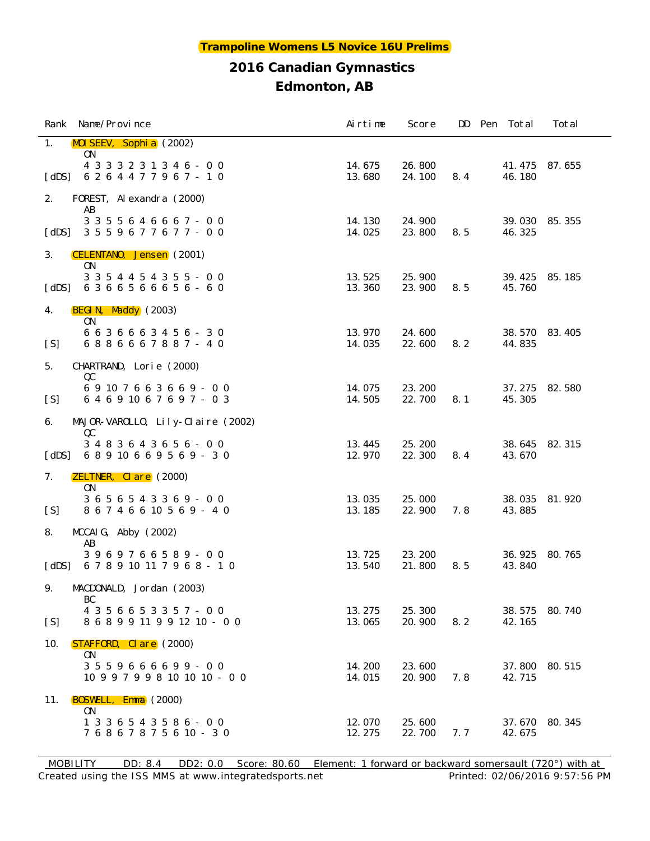|                       | Rank Name/Province                                              | Airtime          | Score            |     | DD Pen Total     | Total  |
|-----------------------|-----------------------------------------------------------------|------------------|------------------|-----|------------------|--------|
| 1.                    | MOI SEEV, Sophi a (2002)<br>ON                                  |                  |                  |     |                  |        |
| $\lceil$ dDS $\rceil$ | 4 3 3 3 2 3 1 3 4 6 - 0 0<br>6 2 6 4 4 7 7 9 6 7 - 1 0          | 14.675<br>13.680 | 26.800<br>24.100 | 8.4 | 41.475<br>46.180 | 87.655 |
| 2.                    | FOREST, Alexandra (2000)                                        |                  |                  |     |                  |        |
| [dDS]                 | AB<br>3 3 5 5 6 4 6 6 6 7 - 0 0<br>3 5 5 9 6 7 7 6 7 7 - 0 0    | 14.130<br>14.025 | 24.900<br>23.800 | 8.5 | 39.030<br>46.325 | 85.355 |
| 3.                    | CELENTANO, Jensen (2001)<br>0N                                  |                  |                  |     |                  |        |
| $\lceil$ dDS $\rceil$ | 3 3 5 4 4 5 4 3 5 5 - 0 0<br>6366566656-60                      | 13.525<br>13.360 | 25.900<br>23.900 | 8.5 | 39.425<br>45.760 | 85.185 |
| 4.                    | BEGIN, Maddy (2003)<br>ON                                       |                  |                  |     |                  |        |
| [S]                   | 6 6 3 6 6 6 3 4 5 6 - 3 0<br>6886667887 - 40                    | 13.970<br>14.035 | 24.600<br>22.600 | 8.2 | 38.570<br>44.835 | 83.405 |
| 5.                    | CHARTRAND, Lorie (2000)                                         |                  |                  |     |                  |        |
| [S]                   | QC<br>69107663669-00<br>6 4 6 9 10 6 7 6 9 7 - 0 3              | 14.075<br>14.505 | 23.200<br>22.700 | 8.1 | 37.275<br>45.305 | 82.580 |
| 6.                    | MAJOR-VAROLLO, Lily-Claire (2002)                               |                  |                  |     |                  |        |
| $\lceil$ dDS $\rceil$ | QC<br>$3\ 4\ 8\ 3\ 6\ 4\ 3\ 6\ 5\ 6\ -\ 0\ 0$<br>68910669569-30 | 13.445<br>12.970 | 25.200<br>22.300 | 8.4 | 38.645<br>43.670 | 82.315 |
| 7.                    | <b>ZELTNER, Clare</b> (2000)<br><b>ON</b>                       |                  |                  |     |                  |        |
| [S]                   | 3 6 5 6 5 4 3 3 6 9 - 0 0<br>8 6 7 4 6 6 10 5 6 9 - 4 0         | 13.035<br>13.185 | 25.000<br>22.900 | 7.8 | 38.035<br>43.885 | 81.920 |
| 8.                    | MCCAI G, Abby (2002)                                            |                  |                  |     |                  |        |
| $\lceil$ dDS $\rceil$ | AB<br>3969766589-00<br>6 7 8 9 10 11 7 9 6 8 - 1 0              | 13.725<br>13.540 | 23.200<br>21.800 | 8.5 | 36.925<br>43.840 | 80.765 |
| 9.                    | MACDONALD, Jordan (2003)                                        |                  |                  |     |                  |        |
| [S]                   | BC<br>4 3 5 6 6 5 3 3 5 7 - 0 0<br>8 6 8 9 9 11 9 9 12 10 - 0 0 | 13.275<br>13.065 | 25.300<br>20.900 | 8.2 | 38.575<br>42.165 | 80.740 |
| 10.                   | <b>STAFFORD, Clare</b> (2000)                                   |                  |                  |     |                  |        |
|                       | 0N<br>$3559666699 - 00$<br>10 9 9 7 9 9 8 10 10 10 - 0 0        | 14.200<br>14.015 | 23.600<br>20.900 | 7.8 | 37.800<br>42.715 | 80.515 |
| 11.                   | BOSWELL, Emma (2000)                                            |                  |                  |     |                  |        |
|                       | 0N<br>1 3 3 6 5 4 3 5 8 6 - 0 0<br>7 6 8 6 7 8 7 5 6 10 - 3 0   | 12.070<br>12.275 | 25.600<br>22.700 | 7.7 | 37.670<br>42.675 | 80.345 |

Created using the ISS MMS at www.integratedsports.net Printed: 02/06/2016 9:57:56 PM MOBILITY DD: 8.4 DD2: 0.0 Score: 80.60 Element: 1 forward or backward somersault (720°) with at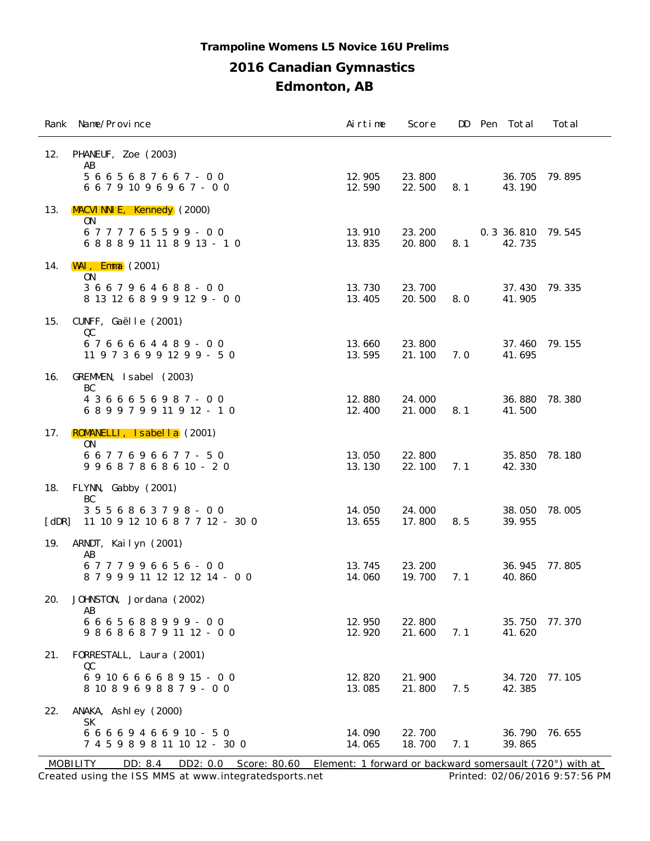#### **Trampoline Womens L5 Novice 16U Prelims**

## **2016 Canadian Gymnastics**

**Edmonton, AB**

|                       | Rank Name/Province                                           | Airtime          | Score            | DD  | Pen Total                      | Total  |
|-----------------------|--------------------------------------------------------------|------------------|------------------|-----|--------------------------------|--------|
| 12.                   | PHANEUF, Zoe (2003)<br>AB                                    |                  |                  |     |                                |        |
|                       | 5 6 6 5 6 8 7 6 6 7 - 0 0<br>6 6 7 9 10 9 6 9 6 7 - 0 0      | 12.905<br>12.590 | 23.800<br>22.500 | 8.1 | 36.705<br>43.190               | 79.895 |
| 13.                   | MACVI NNI E, Kennedy (2000)<br>0N                            |                  |                  |     |                                |        |
|                       | 6777765599-00<br>6 8 8 8 9 11 11 8 9 13 - 10                 | 13.910<br>13.835 | 23.200<br>20.800 | 8.1 | 0. 3 36. 810 79. 545<br>42.735 |        |
| 14.                   | $WAI$ , Emma $(2001)$<br>0 <sub>N</sub>                      |                  |                  |     |                                |        |
|                       | 3 6 6 7 9 6 4 6 8 8 - 0 0<br>8 13 12 6 8 9 9 9 12 9 - 0 0    | 13.730<br>13.405 | 23.700<br>20.500 | 8.0 | 37.430<br>41.905               | 79.335 |
| 15.                   | CUNFF, Gaëlle (2001)<br>QC                                   |                  |                  |     |                                |        |
|                       | 6766664489-00<br>11 9 7 3 6 9 9 12 9 9 - 5 0                 | 13.660<br>13.595 | 23.800<br>21.100 | 7.0 | 37.460<br>41.695               | 79.155 |
| 16.                   | GREMMEN, Isabel (2003)<br>BC                                 |                  |                  |     |                                |        |
|                       | 4 3 6 6 6 5 6 9 8 7 - 0 0<br>689979911912-10                 | 12.880<br>12.400 | 24.000<br>21.000 | 8.1 | 36.880<br>41.500               | 78.380 |
| 17.                   | ROMANELLI, Isabella (2001)<br>0N                             |                  |                  |     |                                |        |
|                       | 6677696677-50<br>99687868610 - 20                            | 13.050<br>13.130 | 22.800<br>22.100 | 7.1 | 35.850<br>42.330               | 78.180 |
| 18.                   | FLYNN, Gabby (2001)<br>BC                                    |                  |                  |     |                                |        |
| $\lceil$ dDR $\rceil$ | 3 5 5 6 8 6 3 7 9 8 - 0 0<br>11 10 9 12 10 6 8 7 7 12 - 30 0 | 14.050<br>13.655 | 24.000<br>17.800 | 8.5 | 38.050<br>39.955               | 78.005 |
| 19.                   | ARNDT, Kailyn (2001)<br>AB                                   |                  |                  |     |                                |        |
|                       | 6777996656-00<br>8 7 9 9 9 11 12 12 12 14 - 0 0              | 13.745<br>14.060 | 23.200<br>19.700 | 7.1 | 36.945<br>40.860               | 77.805 |
| 20.                   | JOHNSTON, Jordana (2002)<br>AB                               |                  |                  |     |                                |        |
|                       | 6665688999-00<br>9 8 6 8 6 8 7 9 11 12 - 0 0                 | 12.950<br>12.920 | 22.800<br>21.600 | 7.1 | 35.750<br>41.620               | 77.370 |
| 21.                   | FORRESTALL, Laura (2001)<br>QC                               |                  |                  |     |                                |        |
|                       | 691066668915 - 00<br>8 10 8 9 6 9 8 8 7 9 - 0 0              | 12.820<br>13.085 | 21.900<br>21.800 | 7.5 | 34.720<br>42.385               | 77.105 |
| 22.                   | ANAKA, Ashley (2000)<br>SK                                   |                  |                  |     |                                |        |
|                       | 6 6 6 6 9 4 6 6 9 10 - 5 0<br>7 4 5 9 8 9 8 11 10 12 - 30 0  | 14.090<br>14.065 | 22.700<br>18.700 | 7.1 | 36.790<br>39.865               | 76.655 |

Created using the ISS MMS at www.integratedsports.net Printed: 02/06/2016 9:57:56 PM MOBILITY DD: 8.4 DD2: 0.0 Score: 80.60 Element: 1 forward or backward somersault (720°) with at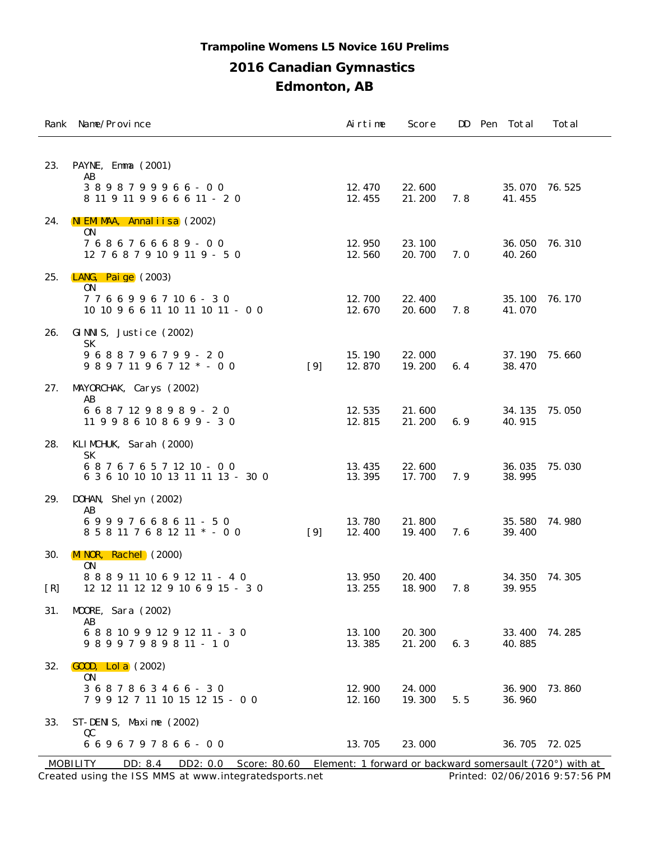#### **Trampoline Womens L5 Novice 16U Prelims**

#### **2016 Canadian Gymnastics**

**Edmonton, AB**

|                   | Rank Name/Province                                                |       | Airtime          | Score            |     | DD Pen Total     | Total         |
|-------------------|-------------------------------------------------------------------|-------|------------------|------------------|-----|------------------|---------------|
| 23.               | PAYNE, Emma (2001)<br>AB                                          |       |                  |                  |     |                  |               |
|                   | 3898799966-00<br>8 11 9 11 9 9 6 6 6 11 - 2 0                     |       | 12.470<br>12.455 | 22.600<br>21.200 | 7.8 | 41.455           | 35.070 76.525 |
| 24.               | NIEMIMAA, Annaliisa (2002)<br>0N                                  |       |                  |                  |     |                  |               |
|                   | 7686766689-00<br>12 7 6 8 7 9 10 9 11 9 - 5 0                     |       | 12.950<br>12.560 | 23.100<br>20.700 | 7.0 | 36.050<br>40.260 | 76.310        |
| 25.               | LANG, Paige $(2003)$<br>0N                                        |       |                  |                  |     |                  |               |
|                   | 77669967106-30<br>10 10 9 6 6 11 10 11 10 11 - 0 0                |       | 12.700<br>12.670 | 22.400<br>20.600 | 7.8 | 35.100<br>41.070 | 76.170        |
| 26.               | GINNIS, Justice (2002)<br>SK                                      |       |                  |                  |     |                  |               |
|                   | 9688796799 - 20<br>9 8 9 7 11 9 6 7 12 * - 0 0                    | $[9]$ | 15.190<br>12.870 | 22.000<br>19.200 | 6.4 | 38.470           | 37.190 75.660 |
| 27.               | MAYORCHAK, Carys (2002)<br>AB                                     |       |                  |                  |     |                  |               |
|                   | 6 6 8 7 12 9 8 9 8 9 - 2 0<br>11 9 9 8 6 10 8 6 9 9 - 3 0         |       | 12.535<br>12.815 | 21.600<br>21.200 | 6.9 | 34.135<br>40.915 | 75.050        |
| 28.               | KLIMCHUK, Sarah (2000)<br>SК                                      |       |                  |                  |     |                  |               |
|                   | 687676571210 - 00<br>6 3 6 10 10 10 13 11 11 13 - 30 0            |       | 13.435<br>13.395 | 22.600<br>17.700 | 7.9 | 36.035<br>38.995 | 75.030        |
| 29.               | DOHAN, Shel yn (2002)<br>AB                                       |       |                  |                  |     |                  |               |
|                   | 69997668611-50<br>8 5 8 11 7 6 8 12 11 * - 0 0                    | $[9]$ | 13.780<br>12.400 | 21.800<br>19.400 | 7.6 | 35.580<br>39.400 | 74.980        |
| 30.               | MINOR, Rachel (2000)<br>0N                                        |       |                  |                  |     |                  |               |
| $\lceil R \rceil$ | 8 8 8 9 11 10 6 9 12 11 - 4 0<br>12 12 11 12 12 9 10 6 9 15 - 3 0 |       | 13.950<br>13.255 | 20.400<br>18.900 | 7.8 | 34.350<br>39.955 | 74.305        |
| 31.               | MOORE, Sara (2002)<br>AB                                          |       |                  |                  |     |                  |               |
|                   | 6 8 8 10 9 9 12 9 12 11 - 3 0<br>$98997989811 - 10$               |       | 13.100<br>13.385 | 20.300<br>21.200 | 6.3 | 33.400<br>40.885 | 74.285        |
| 32.               | $\overline{GOOD}$ , Lol a $(2002)$<br>0 <sub>N</sub>              |       |                  |                  |     |                  |               |
|                   | 3687863466-30<br>7 9 9 12 7 11 10 15 12 15 - 0 0                  |       | 12.900<br>12.160 | 24.000<br>19.300 | 5.5 | 36.900<br>36.960 | 73.860        |
| 33.               | ST-DENIS, Maxime (2002)<br>QC                                     |       |                  |                  |     |                  |               |
|                   | 6696797866-00                                                     |       | 13.705           | 23.000           |     | 36.705           | 72.025        |

Created using the ISS MMS at www.integratedsports.net Printed: 02/06/2016 9:57:56 PM MOBILITY DD: 8.4 DD2: 0.0 Score: 80.60 Element: 1 forward or backward somersault (720°) with at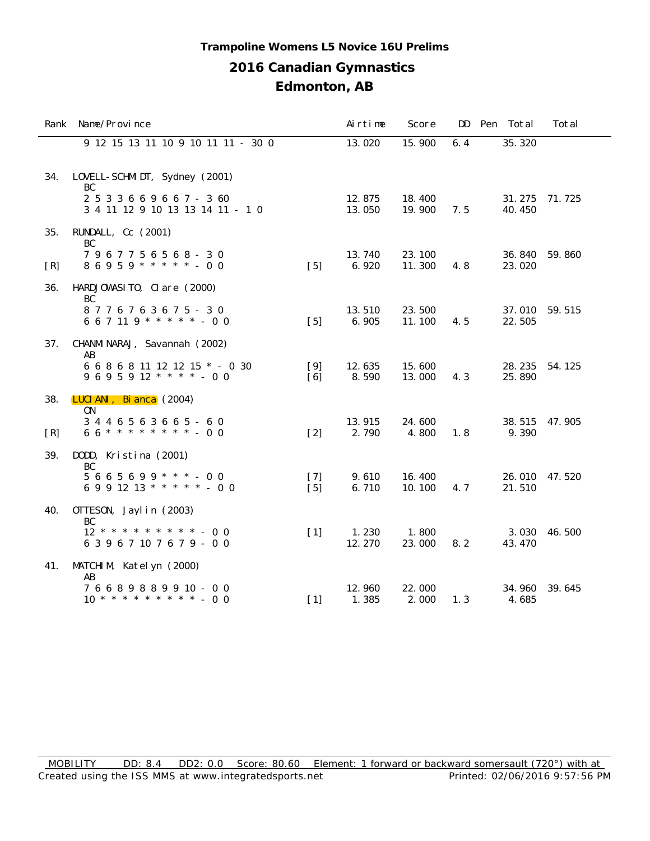#### **Trampoline Womens L5 Novice 16U Prelims**

## **2016 Canadian Gymnastics**

|     | Rank Name/Province                                             |                            | Airtime          | Score            |     | DD Pen Total     | Total  |
|-----|----------------------------------------------------------------|----------------------------|------------------|------------------|-----|------------------|--------|
|     | 9 12 15 13 11 10 9 10 11 11 - 30 0                             |                            | 13.020           | 15.900           | 6.4 | 35.320           |        |
| 34. | LOVELL-SCHMIDT, Sydney (2001)<br>BC                            |                            |                  |                  |     |                  |        |
|     | 2 5 3 3 6 6 9 6 6 7 - 3 60<br>3 4 11 12 9 10 13 13 14 11 - 1 0 |                            | 12.875<br>13.050 | 18.400<br>19.900 | 7.5 | 31.275<br>40.450 | 71.725 |
| 35. | RUNDALL, Cc (2001)<br>BC                                       |                            |                  |                  |     |                  |        |
| [R] | 7967756568-30<br>$86959$ * * * * * - 00                        | $\lceil 5 \rceil$          | 13.740<br>6.920  | 23.100<br>11.300 | 4.8 | 36.840<br>23.020 | 59.860 |
| 36. | HARDJOWASITO, Clare (2000)<br>BC                               |                            |                  |                  |     |                  |        |
|     | 8776763675 - 30<br>667119 * * * * * - 00                       | $[5]$                      | 13.510<br>6.905  | 23.500<br>11.100 | 4.5 | 37.010<br>22.505 | 59.515 |
| 37. | CHANMI NARAJ, Savannah (2002)<br>AB                            |                            |                  |                  |     |                  |        |
|     | 6 6 8 6 8 11 12 12 15 * - 0 30<br>$9695912$ * * * * - 00       | $[9]$<br>$\lceil 6 \rceil$ | 12.635<br>8.590  | 15.600<br>13.000 | 4.3 | 28.235<br>25.890 | 54.125 |
| 38. | LUCI ANI, Bi anca (2004)<br>0N                                 |                            |                  |                  |     |                  |        |
| [R] | 3446563665-60<br>$66$ ********* - 00                           | $[2]$                      | 13.915<br>2.790  | 24.600<br>4.800  | 1.8 | 38.515<br>9.390  | 47.905 |
| 39. | DODD, Kristina (2001)<br>BC                                    |                            |                  |                  |     |                  |        |
|     | $5665699$ * * * - 00<br>6 9 9 12 13 * * * * * - 0 0            | $[7]$<br>$[5]$             | 9.610<br>6.710   | 16.400<br>10.100 | 4.7 | 26.010<br>21.510 | 47.520 |
| 40. | OTTESON, Jaylin (2003)<br>BC                                   |                            |                  |                  |     |                  |        |
|     | 6 3 9 6 7 10 7 6 7 9 - 0 0                                     | $\lceil 1 \rceil$          | 1.230<br>12.270  | 1.800<br>23.000  | 8.2 | 3.030<br>43.470  | 46.500 |
| 41. | MATCHIM, Katelyn (2000)<br>AB                                  |                            |                  |                  |     |                  |        |
|     | 76689889910 - 00                                               | $[1]$                      | 12.960<br>1.385  | 22.000<br>2.000  | 1.3 | 34.960<br>4.685  | 39.645 |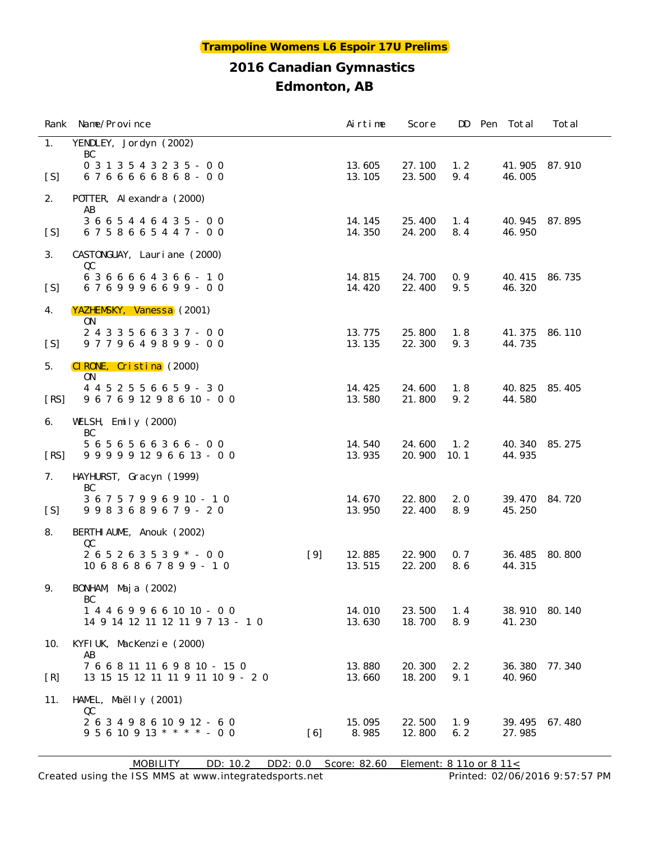|      | Rank Name/Province                                                           |       | Airtime          | Score            |             | DD Pen Total     | Total  |
|------|------------------------------------------------------------------------------|-------|------------------|------------------|-------------|------------------|--------|
| 1.   | YENDLEY, Jordyn (2002)<br>BC                                                 |       |                  |                  |             |                  |        |
| [S]  | 0 3 1 3 5 4 3 2 3 5 - 0 0<br>6766666868-00                                   |       | 13.605<br>13.105 | 27.100<br>23.500 | 1.2<br>9.4  | 41.905<br>46.005 | 87.910 |
| 2.   | POTTER, Alexandra (2000)<br>AB                                               |       |                  |                  |             |                  |        |
| [S]  | 3 6 6 5 4 4 6 4 3 5 - 0 0<br>6758665447-00                                   |       | 14.145<br>14.350 | 25.400<br>24.200 | 1.4<br>8.4  | 40.945<br>46.950 | 87.895 |
| 3.   | CASTONGUAY, Lauriane (2000)<br>QC                                            |       |                  |                  |             |                  |        |
| [S]  | 6366664366-10<br>6769996699-00                                               |       | 14.815<br>14.420 | 24.700<br>22.400 | 0.9<br>9.5  | 40.415<br>46.320 | 86.735 |
| 4.   | YAZHEMSKY, Vanessa (2001)<br>ON                                              |       |                  |                  |             |                  |        |
| [S]  | 2433566337-00<br>$9779649899 - 00$                                           |       | 13.775<br>13.135 | 25.800<br>22.300 | 1.8<br>9.3  | 41.375<br>44.735 | 86.110 |
| 5.   | CIRONE, Cristina (2000)<br>ON.                                               |       |                  |                  |             |                  |        |
| [RS] | 4 4 5 2 5 5 6 6 5 9 - 3 0<br>9 6 7 6 9 12 9 8 6 10 - 0 0                     |       | 14.425<br>13.580 | 24.600<br>21.800 | 1.8<br>9.2  | 40.825<br>44.580 | 85.405 |
| 6.   | WELSH, Emily $(2000)$<br>BC                                                  |       |                  |                  |             |                  |        |
| [RS] | 5 6 5 6 5 6 6 3 6 6 - 0 0<br>9 9 9 9 9 12 9 6 6 13 - 0 0                     |       | 14.540<br>13.935 | 24.600<br>20.900 | 1.2<br>10.1 | 40.340<br>44.935 | 85.275 |
| 7.   | HAYHURST, Gracyn (1999)<br>BC                                                |       |                  |                  |             |                  |        |
| [S]  | 3 6 7 5 7 9 9 6 9 10 - 1 0<br>9983689679 - 20                                |       | 14.670<br>13.950 | 22.800<br>22.400 | 2.0<br>8.9  | 39.470<br>45.250 | 84.720 |
| 8.   | BERTHI AUME, Anouk (2002)<br>QC                                              |       |                  |                  |             |                  |        |
|      | $265263539$ * - 00<br>$10686867899 - 10$                                     | $[9]$ | 12.885<br>13.515 | 22.900<br>22.200 | 0.7<br>8.6  | 36.485<br>44.315 | 80.800 |
| 9.   | BONHAM, Maja (2002)<br>BC                                                    |       |                  |                  |             |                  |        |
|      | $144699661010 - 00$<br>14 9 14 12 11 12 11 9 7 13 - 1 0                      |       | 14.010<br>13.630 | 23.500<br>18.700 | 1.4<br>8.9  | 38.910<br>41.230 | 80.140 |
| 10.  | KYFI UK, MacKenzie (2000)<br>AB                                              |       |                  |                  |             |                  |        |
| [R]  | 7 6 6 8 11 11 6 9 8 10 - 15 0<br>13 15 15 12 11 11 9 11 10 9 - 2 0           |       | 13.880<br>13.660 | 20.300<br>18.200 | 2.2<br>9.1  | 36.380<br>40.960 | 77.340 |
| 11.  | HAMEL, Maëlly (2001)<br>QC                                                   |       |                  |                  |             |                  |        |
|      | 2 6 3 4 9 8 6 10 9 12 - 6 0<br>$9\ 5\ 6\ 10\ 9\ 13\ * \ * \ * \ * \ -\ 0\ 0$ | [6]   | 15.095<br>8.985  | 22.500<br>12.800 | 1.9<br>6.2  | 39.495<br>27.985 | 67.480 |

MOBILITY DD: 10.2 DD2: 0.0 Score: 82.60 Element: 8 11o or 8 11<

Created using the ISS MMS at www.integratedsports.net Printed: 02/06/2016 9:57:57 PM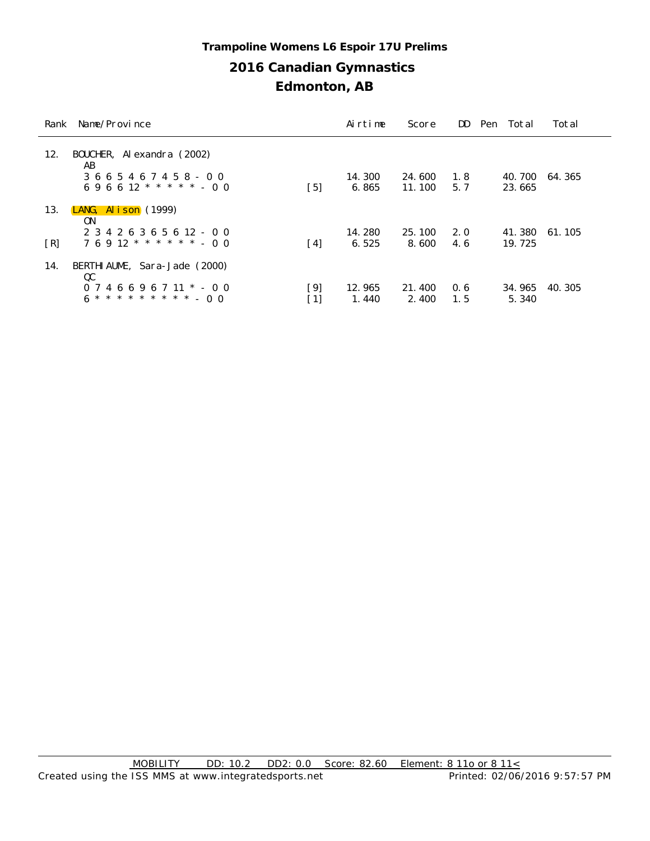## **2016 Canadian Gymnastics Edmonton, AB Trampoline Womens L6 Espoir 17U Prelims**

| Rank                     | Name/Province                                                                                  | Airtime         | Score            |            | DD Pen Total     | Total  |
|--------------------------|------------------------------------------------------------------------------------------------|-----------------|------------------|------------|------------------|--------|
| 12.                      | BOUCHER, Alexandra (2002)<br>AB<br>3 6 6 5 4 6 7 4 5 8 - 0 0<br>[5]<br>$696612$ * * * * * - 00 | 14.300<br>6.865 | 24.600<br>11.100 | 1.8<br>5.7 | 40.700<br>23.665 | 64.365 |
| 13.                      | LANG, Alison $(1999)$<br>0N<br>2 3 4 2 6 3 6 5 6 12 - 0 0                                      | 14.280          | 25.100           | 2.0        | 41.380           | 61.105 |
| $\lceil R \rceil$<br>14. | $76912$ * * * * * * - 00<br>$\lceil 4 \rceil$<br>BERTHI AUME, Sara-Jade (2000)                 | 6.525           | 8.600            | 4.6        | 19.725           |        |
|                          | QC<br>[9]<br>$0746696711$ * - 00<br>$\lceil 1 \rceil$                                          | 12.965<br>1.440 | 21.400<br>2.400  | 0.6<br>1.5 | 34.965<br>5.340  | 40.305 |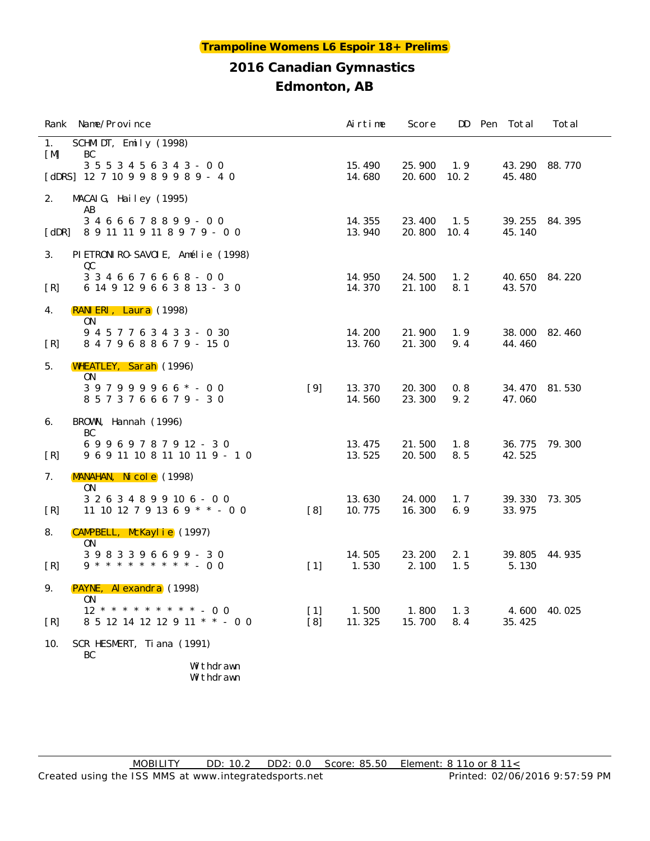#### **Trampoline Womens L6 Espoir 18+ Prelims**

### **2016 Canadian Gymnastics Edmonton, AB**

|                       | Rank Name/Province                                                |                          | Airtime          | Score            |             | DD Pen Total     | Total  |
|-----------------------|-------------------------------------------------------------------|--------------------------|------------------|------------------|-------------|------------------|--------|
| 1.<br>[M]             | SCHMIDT, Emily $(1998)$<br>BC                                     |                          |                  |                  |             |                  |        |
|                       | 3 5 5 3 4 5 6 3 4 3 - 0 0<br>[dDRS] $12 7 10 9 9 8 9 9 8 9 - 4 0$ |                          | 15.490<br>14.680 | 25.900<br>20.600 | 1.9<br>10.2 | 43.290<br>45.480 | 88.770 |
| 2.                    | MACAIG, Hailey $(1995)$<br>AB                                     |                          |                  |                  |             |                  |        |
| $\lceil$ dDR $\rceil$ | 3466678899-00<br>8 9 11 11 9 11 8 9 7 9 - 0 0                     |                          | 14.355<br>13.940 | 23.400<br>20.800 | 1.5<br>10.4 | 39.255<br>45.140 | 84.395 |
| 3.                    | PIETRONIRO-SAVOIE, Amélie (1998)<br>QC                            |                          |                  |                  |             |                  |        |
| [R]                   | 3 3 4 6 6 7 6 6 6 8 - 0 0<br>6 14 9 12 9 6 6 3 8 13 - 3 0         |                          | 14.950<br>14.370 | 24.500<br>21.100 | 1.2<br>8.1  | 40.650<br>43.570 | 84.220 |
| 4.                    | RANIERI, Laura (1998)<br>0N                                       |                          |                  |                  |             |                  |        |
| [R]                   | 9 4 5 7 7 6 3 4 3 3 - 0 30<br>8479688679-150                      |                          | 14.200<br>13.760 | 21.900<br>21.300 | 1.9<br>9.4  | 38.000<br>44.460 | 82.460 |
| 5.                    | WHEATLEY, Sarah (1996)<br>0N                                      |                          |                  |                  |             |                  |        |
|                       | $397999966* - 00$<br>8573766679-30                                | $[9]$                    | 13.370<br>14.560 | 20.300<br>23.300 | 0.8<br>9.2  | 34.470<br>47.060 | 81.530 |
| 6.                    | BROWN, Hannah (1996)<br>BC                                        |                          |                  |                  |             |                  |        |
| [R]                   | 69969787912-30<br>9 6 9 11 10 8 11 10 11 9 - 1 0                  |                          | 13.475<br>13.525 | 21.500<br>20.500 | 1.8<br>8.5  | 36.775<br>42.525 | 79.300 |
| 7.                    | MANAHAN, Nicole (1998)<br><b>ON</b>                               |                          |                  |                  |             |                  |        |
| [R]                   | 3 2 6 3 4 8 9 9 10 6 - 0 0<br>11 10 12 7 9 13 6 9 $*$ $*$ - 0 0   | [8]                      | 13.630<br>10.775 | 24.000<br>16.300 | 1.7<br>6.9  | 39.330<br>33.975 | 73.305 |
| 8.                    | CAMPBELL, McKaylie (1997)<br>0N                                   |                          |                  |                  |             |                  |        |
| [R]                   | 3983396699 - 30<br>$9 * * * * * * * * * * * * 0 0$                | $\lceil 1 \rceil$        | 14.505<br>1.530  | 23.200<br>2.100  | 2.1<br>1.5  | 39.805<br>5.130  | 44.935 |
| 9.                    | PAYNE, Al exandra (1998)<br>0 <sub>N</sub>                        |                          |                  |                  |             |                  |        |
| [R]                   | 8 5 12 14 12 12 9 11 * * - 0 0                                    | $\lceil 1 \rceil$<br>[8] | 1.500<br>11.325  | 1.800<br>15.700  | 1.3<br>8.4  | 4.600<br>35.425  | 40.025 |
| 10.                   | SCR HESMERT, Ti ana (1991)<br>BC                                  |                          |                  |                  |             |                  |        |
|                       | Withdrawn<br>Withdrawn                                            |                          |                  |                  |             |                  |        |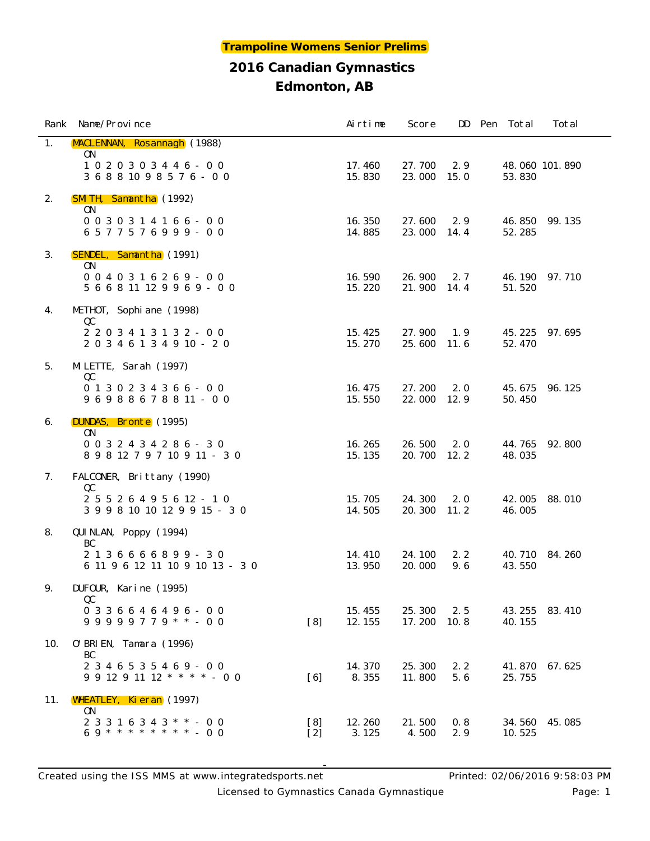|     | Rank Name/Province                                                |              | Airtime          | Score            |             | DD Pen Total     | Total          |
|-----|-------------------------------------------------------------------|--------------|------------------|------------------|-------------|------------------|----------------|
| 1.  | MACLENNAN, Rosannagh (1988)<br>ON                                 |              |                  |                  |             |                  |                |
|     | $1020303446 - 00$<br>3 6 8 8 10 9 8 5 7 6 - 0 0                   |              | 17.460<br>15.830 | 27.700<br>23.000 | 2.9<br>15.0 | 53.830           | 48.060 101.890 |
| 2.  | <b>SMITH, Samantha</b> (1992)                                     |              |                  |                  |             |                  |                |
|     | <b>ON</b><br>$0 0 3 0 3 1 4 1 6 6 - 0 0$<br>6577576999-00         |              | 16.350<br>14.885 | 27.600<br>23.000 | 2.9<br>14.4 | 46.850<br>52.285 | 99.135         |
| 3.  | SENDEL, Samantha (1991)<br>ON.                                    |              |                  |                  |             |                  |                |
|     | $0040316269 - 00$<br>$566811129969 - 00$                          |              | 16.590<br>15.220 | 26.900<br>21.900 | 2.7<br>14.4 | 46.190<br>51.520 | 97.710         |
| 4.  | METHOT, Sophi ane (1998)                                          |              |                  |                  |             |                  |                |
|     | QC<br>2 2 0 3 4 1 3 1 3 2 - 0 0<br>2 0 3 4 6 1 3 4 9 10 - 2 0     |              | 15.425<br>15.270 | 27.900<br>25.600 | 1.9<br>11.6 | 45.225<br>52.470 | 97.695         |
| 5.  | MLETTE, Sarah (1997)                                              |              |                  |                  |             |                  |                |
|     | QC<br>$0 1 3 0 2 3 4 3 6 6 - 0 0$<br>96988678811-00               |              | 16.475<br>15.550 | 27.200<br>22.000 | 2.0<br>12.9 | 45.675<br>50.450 | 96.125         |
| 6.  | DUNDAS, Bronte (1995)                                             |              |                  |                  |             |                  |                |
|     | ON<br>0 0 3 2 4 3 4 2 8 6 - 3 0<br>8 9 8 12 7 9 7 10 9 11 - 3 0   |              | 16.265<br>15.135 | 26.500<br>20.700 | 2.0<br>12.2 | 44.765<br>48.035 | 92.800         |
| 7.  | FALCONER, Brittany (1990)                                         |              |                  |                  |             |                  |                |
|     | QC<br>2 5 5 2 6 4 9 5 6 12 - 1 0<br>3 9 9 8 10 10 12 9 9 15 - 3 0 |              | 15.705<br>14.505 | 24.300<br>20.300 | 2.0<br>11.2 | 42.005<br>46.005 | 88.010         |
| 8.  | QUI NLAN, Poppy (1994)                                            |              |                  |                  |             |                  |                |
|     | BC<br>2136666899-30<br>6 11 9 6 12 11 10 9 10 13 - 3 0            |              | 14.410<br>13.950 | 24.100<br>20.000 | 2.2<br>9.6  | 40.710<br>43.550 | 84.260         |
| 9.  | DUFOUR, Karine (1995)                                             |              |                  |                  |             |                  |                |
|     | QC<br>$0336646496 - 00$<br>$99999779$ **-00                       | [8]          | 15.455<br>12.155 | 25.300<br>17.200 | 2.5<br>10.8 | 43.255<br>40.155 | 83.410         |
| 10. | 0' BRI EN, Tamara (1996)                                          |              |                  |                  |             |                  |                |
|     | BC<br>$2346535469 - 00$<br>$9$ 9 12 9 11 12 * * * * - 0 0         | [6]          | 14.370<br>8.355  | 25.300<br>11.800 | 2.2<br>5.6  | 41.870<br>25.755 | 67.625         |
| 11. | WHEATLEY, Kieran (1997)                                           |              |                  |                  |             |                  |                |
|     | ON.<br>$23316343$ * * - 00<br>69 * * * * * * * * * - 00           | [8]<br>$[2]$ | 12.260<br>3.125  | 21.500<br>4.500  | 0.8<br>2.9  | 34.560<br>10.525 | 45.085         |

Licensed to Gymnastics Canada Gymnastique **Page: 1** Page: 1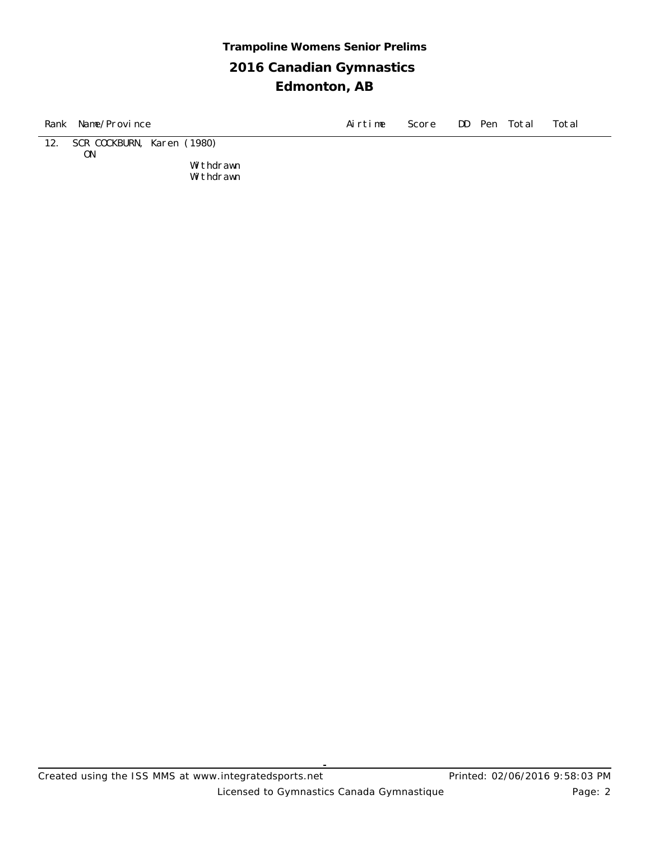## **2016 Canadian Gymnastics Edmonton, AB Trampoline Womens Senior Prelims**

| Rank | Name/Province                    |                        | Airtime | Score |  | DD Pen Total | Total |
|------|----------------------------------|------------------------|---------|-------|--|--------------|-------|
| 12.  | SCR COCKBURN, Karen (1980)<br>0N |                        |         |       |  |              |       |
|      |                                  | Withdrawn<br>Withdrawn |         |       |  |              |       |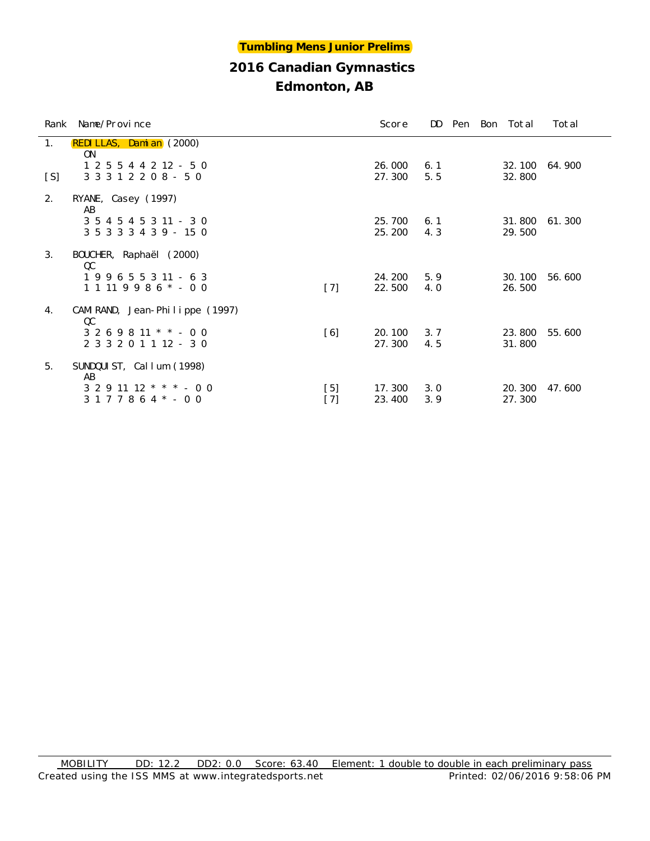| Edmonton, AB |  |
|--------------|--|
|--------------|--|

|     | Rank Name/Province                                          |                | Score            | DD         |  | Pen Bon Total    | Total  |
|-----|-------------------------------------------------------------|----------------|------------------|------------|--|------------------|--------|
| 1.  | <b>REDI LLAS, Dami an</b> (2000)<br>ON.                     |                |                  |            |  |                  |        |
| [S] | $1\ 2\ 5\ 5\ 4\ 4\ 2\ 12\ -\ 5\ 0$<br>3 3 3 1 2 2 0 8 - 5 0 |                | 26.000<br>27.300 | 6.1<br>5.5 |  | 32.100<br>32.800 | 64.900 |
| 2.  | RYANE, Casey (1997)<br>AB                                   |                |                  |            |  |                  |        |
|     | 3 5 4 5 4 5 3 11 - 3 0<br>3 5 3 3 3 4 3 9 - 15 0            |                | 25.700<br>25.200 | 6.1<br>4.3 |  | 31.800<br>29.500 | 61.300 |
| 3.  | BOUCHER, Raphaël (2000)<br>QC                               |                |                  |            |  |                  |        |
|     | $199655311 - 63$<br>$1 1 11 9 9 8 6 * - 0 0$                | $[7]$          | 24.200<br>22.500 | 5.9<br>4.0 |  | 30.100<br>26.500 | 56.600 |
| 4.  | CAMI RAND, Jean-Phi l i ppe $(1997)$<br>QC                  |                |                  |            |  |                  |        |
|     | $3269811$ * * - 00<br>2 3 3 2 0 1 1 1 2 - 3 0               | [6]            | 20.100<br>27.300 | 3.7<br>4.5 |  | 23.800<br>31.800 | 55.600 |
| 5.  | SUNDQUIST, Callum (1998)<br>AB                              |                |                  |            |  |                  |        |
|     | $3291112$ * * * - 00<br>$3177864* - 00$                     | $[5]$<br>$[7]$ | 17.300<br>23.400 | 3.0<br>3.9 |  | 20.300<br>27.300 | 47.600 |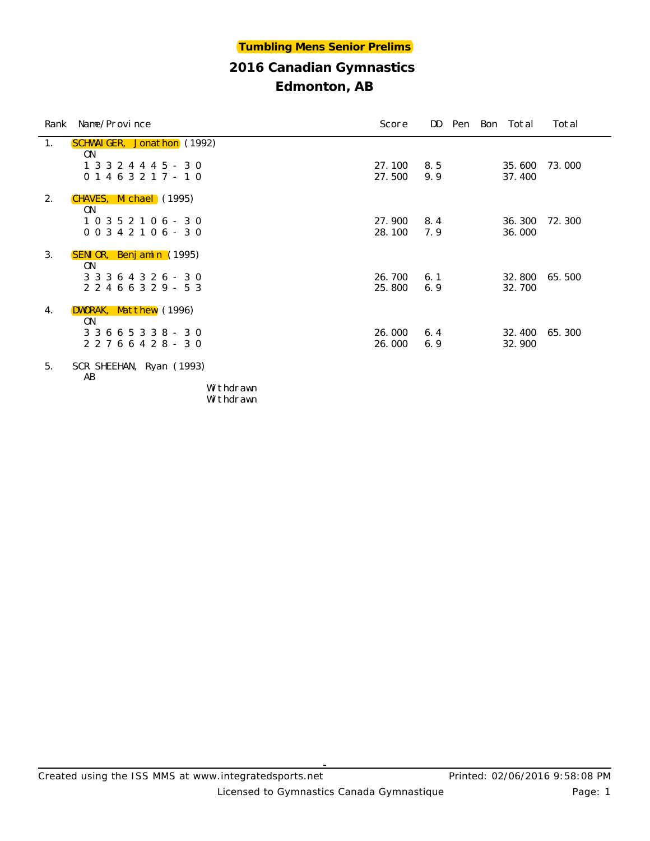## **Edmonton, AB**

|                | Rank Name/Province                               | Score             | DD.        |  | Pen Bon Total    | Total  |
|----------------|--------------------------------------------------|-------------------|------------|--|------------------|--------|
| 1.             | <b>SCHWAIGER, Jonathon</b> (1992)<br>0N          |                   |            |  |                  |        |
|                | 1 3 3 2 4 4 4 5 - 3 0<br>$0 1 4 6 3 2 1 7 - 1 0$ | 27.100<br>27.500  | 8.5<br>9.9 |  | 35,600<br>37.400 | 73.000 |
| 2.             | CHAVES, Michael (1995)<br>0N                     |                   |            |  |                  |        |
|                | $10352106 - 30$<br>$00342106 - 30$               | 27.900<br>28.100  | 8.4<br>7.9 |  | 36.300<br>36.000 | 72.300 |
| 3.             | <b>SENIOR, Benjamin</b> (1995)<br>0 <sub>N</sub> |                   |            |  |                  |        |
|                | 3 3 3 6 4 3 2 6 - 3 0<br>2 2 4 6 6 3 2 9 - 5 3   | 26.700<br>25, 800 | 6.1<br>6.9 |  | 32.800<br>32.700 | 65.500 |
| 4.             | DWORAK, Matthew (1996)<br>0N                     |                   |            |  |                  |        |
|                | 3 3 6 6 5 3 3 8 - 3 0<br>2 2 7 6 6 4 2 8 - 3 0   | 26.000<br>26.000  | 6.4<br>6.9 |  | 32.400<br>32.900 | 65.300 |
| 5 <sub>1</sub> | SCR SHEEHAN, Ryan (1993)<br>AB                   |                   |            |  |                  |        |

Withdrawn Withdrawn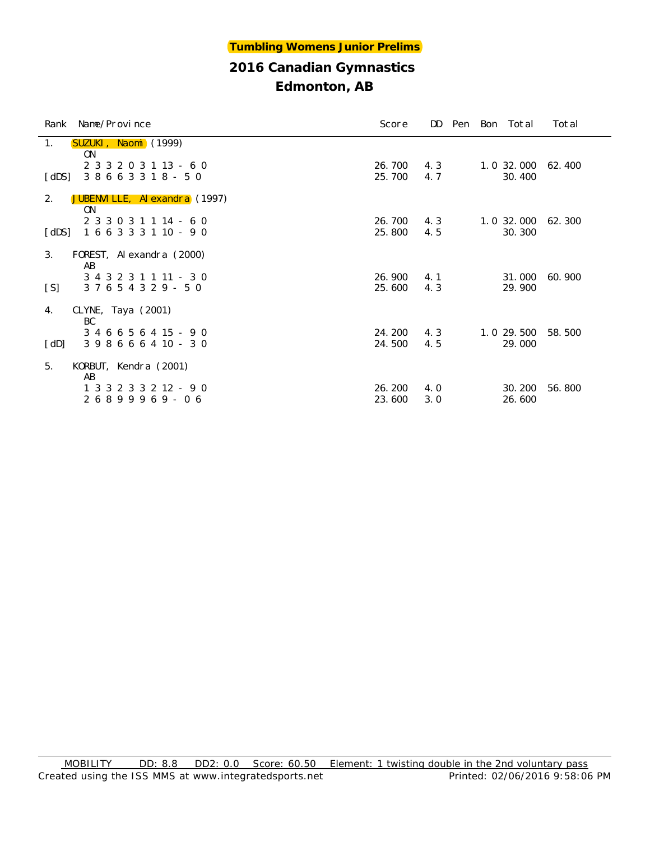| Rank Name/Province                                                 | Score            | DD.        |  | Pen Bon Total                 | Total  |
|--------------------------------------------------------------------|------------------|------------|--|-------------------------------|--------|
| 1.<br>SUZUKI, Naomi (1999)<br>0N                                   |                  |            |  |                               |        |
| 2 3 3 2 0 3 1 13 - 6 0<br>38663318 - 50<br>[dDS]                   | 26.700<br>25.700 | 4.3<br>4.7 |  | 1.0 32.000<br>30.400          | 62.400 |
| 2.<br>JUBENVILLE, Alexandra (1997)<br>0 <sub>N</sub>               |                  |            |  |                               |        |
| 2 3 3 0 3 1 1 14 - 6 0<br>1 6 6 3 3 3 1 10 - 9 0<br>[dDS]          | 26.700<br>25.800 | 4.3<br>4.5 |  | $1.0$ 32.000 62.300<br>30.300 |        |
| 3.<br>FOREST, Alexandra (2000)<br>AB                               |                  |            |  |                               |        |
| 3 4 3 2 3 1 1 11 - 3 0<br>[S]<br>37654329-50                       | 26.900<br>25.600 | 4.1<br>4.3 |  | 31.000<br>29.900              | 60.900 |
| CLYNE, Taya $(2001)$<br>4.<br>BC                                   |                  |            |  |                               |        |
| 3 4 6 6 5 6 4 15 - 9 0<br>$398666410 - 30$<br>$\lceil$ dD $\rceil$ | 24.200<br>24.500 | 4.3<br>4.5 |  | 1.0 29.500<br>29.000          | 58.500 |
| KORBUT, Kendra (2001)<br>5.<br>AB                                  |                  |            |  |                               |        |
| 1 3 3 2 3 3 2 12 - 9 0<br>$26899969 - 06$                          | 26.200<br>23.600 | 4.0<br>3.0 |  | 30.200<br>26.600              | 56.800 |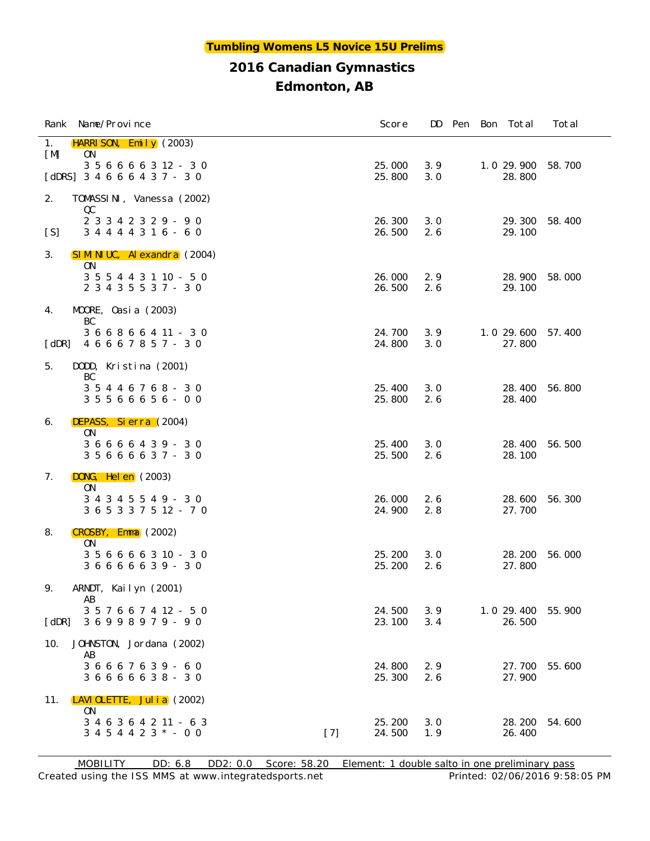| Rank Name/Province                                                 | Score            |            |  | DD Pen Bon Total     | Total  |
|--------------------------------------------------------------------|------------------|------------|--|----------------------|--------|
| <b>HARRI SON, Emily</b> $(2003)$<br>1.<br>[M]<br>0 <sub>N</sub>    |                  |            |  |                      |        |
| 3 5 6 6 6 6 3 12 - 3 0<br>[dDRS] $3\ 4\ 6\ 6\ 6\ 4\ 3\ 7\ -\ 3\ 0$ | 25.000<br>25.800 | 3.9<br>3.0 |  | 1.0 29.900<br>28.800 | 58.700 |
| 2.<br>TOMASSINI, Vanessa (2002)                                    |                  |            |  |                      |        |
| QC<br>2 3 3 4 2 3 2 9 - 9 0                                        | 26.300           | 3.0        |  | 29.300               | 58.400 |
| 3 4 4 4 4 3 1 6 - 6 0<br>[S]                                       | 26.500           | 2.6        |  | 29.100               |        |
| 3.<br>SIMINIUC, Alexandra (2004)                                   |                  |            |  |                      |        |
| ON.<br>3 5 5 4 4 3 1 10 - 5 0                                      | 26.000           | 2.9        |  | 28.900               | 58.000 |
| 2 3 4 3 5 5 3 7 - 3 0                                              | 26.500           | 2.6        |  | 29.100               |        |
| MOORE, Oasia (2003)<br>4.<br>BC                                    |                  |            |  |                      |        |
| 3 6 6 8 6 6 4 11 - 3 0<br>4 6 6 6 7 8 5 7 - 3 0<br>$ $ dDR $ $     | 24.700<br>24.800 | 3.9<br>3.0 |  | 1.0 29.600<br>27.800 | 57.400 |
| 5.<br>DODD, Kristina (2001)                                        |                  |            |  |                      |        |
| BC<br>3 5 4 4 6 7 6 8 - 3 0                                        | 25.400           | 3.0        |  | 28.400               | 56.800 |
| $35566656 - 00$                                                    | 25.800           | 2.6        |  | 28.400               |        |
| DEPASS, Sierra (2004)<br>6.<br>0N                                  |                  |            |  |                      |        |
| 3 6 6 6 6 4 3 9 - 3 0<br>3 5 6 6 6 6 3 7 - 3 0                     | 25.400<br>25.500 | 3.0<br>2.6 |  | 28.400<br>28.100     | 56.500 |
| $DONG$ , Helen $(2003)$<br>7.                                      |                  |            |  |                      |        |
| 0 <sub>N</sub>                                                     | 26.000           | 2.6        |  |                      |        |
| 3 4 3 4 5 5 4 9 - 3 0<br>3 6 5 3 3 7 5 12 - 7 0                    | 24.900           | 2.8        |  | 28.600<br>27.700     | 56.300 |
| CROSBY, Emma (2002)<br>8.                                          |                  |            |  |                      |        |
| 0N<br>3 5 6 6 6 6 3 10 - 3 0                                       | 25.200           | 3.0        |  | 28.200               | 56.000 |
| 36666639 - 30                                                      | 25.200           | 2.6        |  | 27.800               |        |
| ARNDT, Kailyn (2001)<br>9.<br>AB                                   |                  |            |  |                      |        |
| 3 5 7 6 6 7 4 12 - 5 0<br>$\lceil$ dDR $\rceil$<br>36998979-90     | 24.500<br>23.100 | 3.9<br>3.4 |  | 1.0 29.400<br>26.500 | 55.900 |
| 10.<br>JOHNSTON, Jordana (2002)                                    |                  |            |  |                      |        |
| AB<br>3 6 6 6 7 6 3 9 - 6 0                                        | 24.800           | 2.9        |  | 27.700               | 55.600 |
| 3 6 6 6 6 6 3 8 - 3 0                                              | 25.300           | 2.6        |  | 27.900               |        |
| LAVI OLETTE, Jul i a $(2002)$<br>11.<br>0 <sub>N</sub>             |                  |            |  |                      |        |
| 3 4 6 3 6 4 2 11 - 6 3                                             | 25.200           | 3.0        |  | 28.200               | 54.600 |
| $3\; 4\; 5\; 4\; 4\; 2\; 3\; * -0\; 0$<br>$[7]$                    | 24.500           | 1.9        |  | 26.400               |        |

Created using the ISS MMS at www.integratedsports.net Printed: 02/06/2016 9:58:05 PM MOBILITY DD: 6.8 DD2: 0.0 Score: 58.20 Element: 1 double salto in one preliminary pass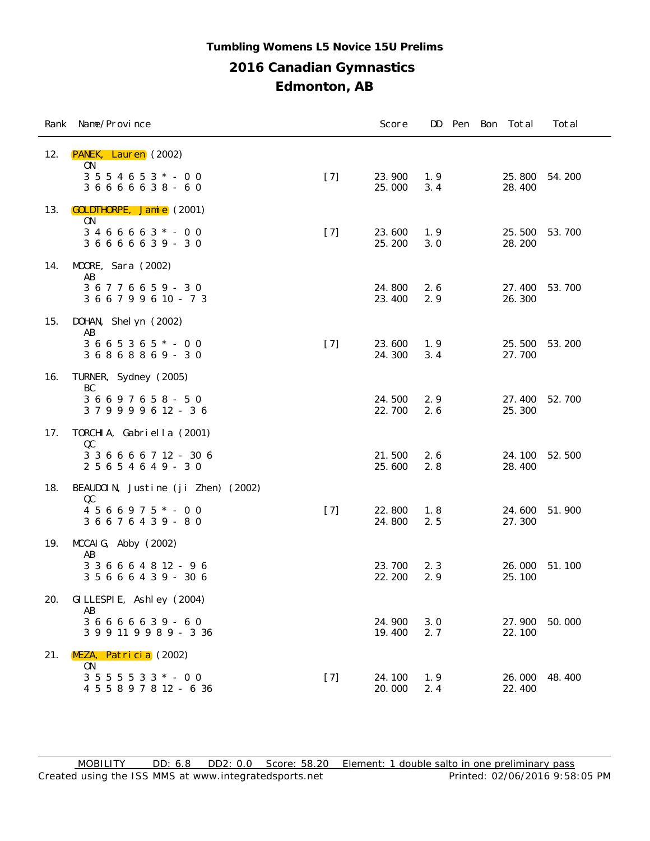## **2016 Canadian Gymnastics Edmonton, AB Tumbling Womens L5 Novice 15U Prelims**

|     | Rank Name/Province                                                                    |       | Score            | DD         |  | Pen Bon Total    | Total  |
|-----|---------------------------------------------------------------------------------------|-------|------------------|------------|--|------------------|--------|
| 12. | PANEK, Lauren (2002)<br>0N<br>$3\ 5\ 5\ 4\ 6\ 5\ 3\ *$ - 0 0<br>3 6 6 6 6 6 3 8 - 6 0 | $[7]$ | 23.900<br>25.000 | 1.9<br>3.4 |  | 25.800<br>28.400 | 54.200 |
| 13. | <b>GOLDTHORPE, Jamie</b> (2001)<br>0N                                                 |       |                  |            |  |                  |        |
|     | $3466663 * - 00$<br>3 6 6 6 6 6 3 9 - 3 0                                             | $[7]$ | 23.600<br>25.200 | 1.9<br>3.0 |  | 25.500<br>28.200 | 53.700 |
| 14. | MOORE, Sara (2002)<br>AB                                                              |       |                  |            |  |                  |        |
|     | 36776659 - 30<br>3 6 6 7 9 9 6 10 - 7 3                                               |       | 24.800<br>23.400 | 2.6<br>2.9 |  | 27.400<br>26.300 | 53.700 |
| 15. | DOHAN, Shelyn (2002)<br>AB                                                            |       |                  |            |  |                  |        |
|     | $3665365*-00$<br>36868869 - 30                                                        | $[7]$ | 23.600<br>24.300 | 1.9<br>3.4 |  | 25.500<br>27.700 | 53.200 |
| 16. | TURNER, Sydney (2005)<br>BC                                                           |       |                  |            |  |                  |        |
|     | 3 6 6 9 7 6 5 8 - 5 0<br>379999612-36                                                 |       | 24.500<br>22.700 | 2.9<br>2.6 |  | 27.400<br>25.300 | 52.700 |
| 17. | TORCHIA, Gabriella (2001)<br>QC                                                       |       |                  |            |  |                  |        |
|     | 3 3 6 6 6 6 7 12 - 30 6<br>2 5 6 5 4 6 4 9 - 3 0                                      |       | 21.500<br>25.600 | 2.6<br>2.8 |  | 24.100<br>28.400 | 52.500 |
| 18. | BEAUDOIN, Justine (ji Zhen) (2002)<br>QC                                              |       |                  |            |  |                  |        |
|     | $4566975$ * - 00<br>3 6 6 7 6 4 3 9 - 8 0                                             | $[7]$ | 22.800<br>24.800 | 1.8<br>2.5 |  | 24.600<br>27.300 | 51.900 |
| 19. | $MCCAI G$ , Abby $(2002)$<br>AB                                                       |       |                  |            |  |                  |        |
|     | 3 3 6 6 6 4 8 12 - 9 6<br>3 5 6 6 6 4 3 9 - 30 6                                      |       | 23.700<br>22.200 | 2.3<br>2.9 |  | 26.000<br>25.100 | 51.100 |
| 20. | GI LLESPI E, Ashl ey (2004)<br>AB                                                     |       |                  |            |  |                  |        |
|     | 3 6 6 6 6 6 3 9 - 6 0<br>3 9 9 11 9 9 8 9 - 3 36                                      |       | 24.900<br>19.400 | 3.0<br>2.7 |  | 27.900<br>22.100 | 50.000 |
| 21. | MEZA, Patricia (2002)<br>0 <sub>N</sub>                                               |       |                  |            |  |                  |        |
|     | $3\ 5\ 5\ 5\ 5\ 3\ 3\ * \ -\ 0\ 0$<br>4 5 5 8 9 7 8 12 - 6 36                         | $[7]$ | 24.100<br>20.000 | 1.9<br>2.4 |  | 26.000<br>22.400 | 48.400 |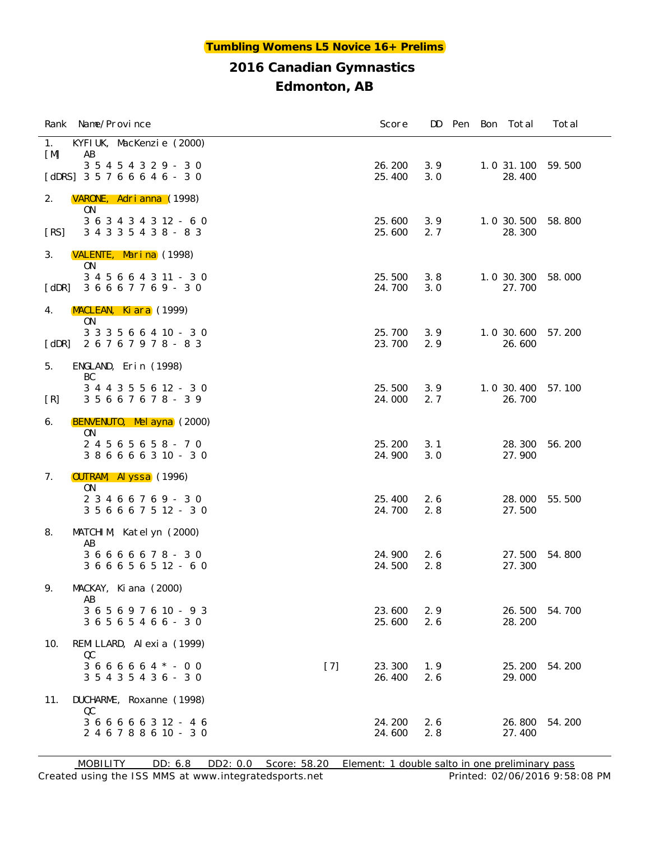|                       | Rank Name/Province                                         |       | Score            | DD.        |  | Pen Bon Total        | Total  |
|-----------------------|------------------------------------------------------------|-------|------------------|------------|--|----------------------|--------|
| 1.<br>[M]             | KYFI UK, MacKenzie (2000)<br>AB                            |       |                  |            |  |                      |        |
|                       | 3 5 4 5 4 3 2 9 - 3 0                                      |       | 26.200           | 3.9        |  | 1.0 31.100           | 59.500 |
|                       | [dDRS] $3\ 5\ 7\ 6\ 6\ 6\ 4\ 6\ -\ 3\ 0$                   |       | 25.400           | 3.0        |  | 28.400               |        |
| 2.                    | VARONE, Adrianna (1998)<br>0N                              |       |                  |            |  |                      |        |
| [RS]                  | 3 6 3 4 3 4 3 12 - 6 0<br>3 4 3 3 5 4 3 8 - 8 3            |       | 25.600<br>25.600 | 3.9<br>2.7 |  | 1.0 30.500<br>28.300 | 58.800 |
| 3.                    | VALENTE, Marina (1998)<br>ON.                              |       |                  |            |  |                      |        |
| $\lceil$ dDR $\rceil$ | 3 4 5 6 6 4 3 11 - 3 0<br>36667769 - 30                    |       | 25.500<br>24.700 | 3.8<br>3.0 |  | 1.0 30.300<br>27.700 | 58.000 |
| 4.                    | MACLEAN, Kiara (1999)                                      |       |                  |            |  |                      |        |
| $\lceil$ dDR $\rceil$ | ON.<br>$3\ 3\ 3\ 5\ 6\ 6\ 4\ 10\ -\ 3\ 0$<br>26767978 - 83 |       | 25.700<br>23.700 | 3.9<br>2.9 |  | 1.0 30.600<br>26.600 | 57.200 |
| 5.                    | ENGLAND, Erin (1998)                                       |       |                  |            |  |                      |        |
| [R]                   | BC<br>3 4 4 3 5 5 6 12 - 3 0<br>3 5 6 6 7 6 7 8 - 3 9      |       | 25.500<br>24.000 | 3.9<br>2.7 |  | 1.0 30.400<br>26.700 | 57.100 |
| 6.                    | BENVENUTO, Mel ayna (2000)                                 |       |                  |            |  |                      |        |
|                       | 0 <sub>N</sub><br>24565658-70                              |       | 25.200           | 3.1        |  | 28.300               | 56.200 |
|                       | 3 8 6 6 6 6 3 10 - 3 0                                     |       | 24.900           | 3.0        |  | 27.900               |        |
| 7.                    | <b>OUTRAM, Al yssa</b> (1996)                              |       |                  |            |  |                      |        |
|                       | ON.<br>2 3 4 6 6 7 6 9 - 3 0                               |       | 25.400           | 2.6        |  | 28.000               | 55.500 |
|                       | 3 5 6 6 6 7 5 12 - 3 0                                     |       | 24.700           | 2.8        |  | 27.500               |        |
| 8.                    | MATCHIM, Katelyn (2000)<br>AB                              |       |                  |            |  |                      |        |
|                       | 36666678-30<br>3 6 6 6 5 6 5 12 - 6 0                      |       | 24.900<br>24.500 | 2.6<br>2.8 |  | 27.500<br>27.300     | 54.800 |
|                       |                                                            |       |                  |            |  |                      |        |
| 9.                    | MACKAY, Ki ana (2000)<br>AB                                |       |                  |            |  |                      |        |
|                       | 3 6 5 6 9 7 6 10 - 9 3<br>3 6 5 6 5 4 6 6 - 3 0            |       | 23.600<br>25.600 | 2.9<br>2.6 |  | 26.500<br>28.200     | 54.700 |
| 10.                   | REMILLARD, Alexia (1999)                                   |       |                  |            |  |                      |        |
|                       | QC<br>$3666664$ * - 00                                     | $[7]$ | 23.300           | 1.9        |  | 25.200               | 54.200 |
|                       | 3 5 4 3 5 4 3 6 - 3 0                                      |       | 26.400           | 2.6        |  | 29.000               |        |
| 11.                   | DUCHARME, Roxanne (1998)                                   |       |                  |            |  |                      |        |
|                       | QC<br>3 6 6 6 6 6 3 12 - 4 6                               |       | 24.200           | 2.6        |  | 26.800               | 54.200 |
|                       | 2 4 6 7 8 8 6 10 - 3 0                                     |       | 24.600           | 2.8        |  | 27.400               |        |

Created using the ISS MMS at www.integratedsports.net Printed: 02/06/2016 9:58:08 PM MOBILITY DD: 6.8 DD2: 0.0 Score: 58.20 Element: 1 double salto in one preliminary pass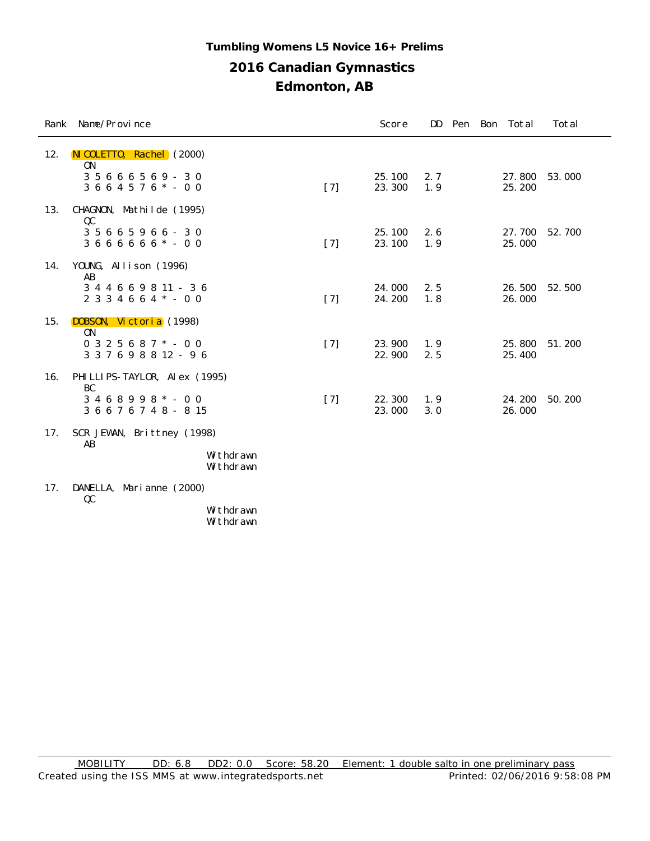## **2016 Canadian Gymnastics Edmonton, AB Tumbling Womens L5 Novice 16+ Prelims**

| Rank | Name/Province                              |       | Score            | DD.        |  | Pen Bon Total    | Total  |
|------|--------------------------------------------|-------|------------------|------------|--|------------------|--------|
| 12.  | NI COLETTO, Rachel (2000)<br><b>ON</b>     |       |                  |            |  |                  |        |
|      | 3 5 6 6 6 5 6 9 - 3 0<br>$3664576* - 00$   | $[7]$ | 25.100<br>23.300 | 2.7<br>1.9 |  | 27.800<br>25.200 | 53.000 |
| 13.  | CHAGNON, Mathilde (1995)<br>QC             |       |                  |            |  |                  |        |
|      | $35665966 - 30$<br>$3666666* - 00$         | $[7]$ | 25.100<br>23.100 | 2.6<br>1.9 |  | 27.700<br>25.000 | 52.700 |
| 14.  | YOUNG, Allison (1996)<br>AB                |       |                  |            |  |                  |        |
|      | 344669811-36<br>$2334664* - 00$            | $[7]$ | 24.000<br>24.200 | 2.5<br>1.8 |  | 26.500<br>26.000 | 52.500 |
| 15.  | DOBSON, Victoria (1998)<br>0 <sub>N</sub>  |       |                  |            |  |                  |        |
|      | $0325687$ * - 00<br>3 3 7 6 9 8 8 12 - 9 6 | $[7]$ | 23.900<br>22.900 | 1.9<br>2.5 |  | 25,800<br>25.400 | 51.200 |
| 16.  | PHI LLI PS-TAYLOR, Al ex (1995)<br>BC      |       |                  |            |  |                  |        |
|      | $3468998 * - 00$<br>3 6 6 7 6 7 4 8 - 8 15 | $[7]$ | 22.300<br>23.000 | 1.9<br>3.0 |  | 24.200<br>26.000 | 50.200 |
| 17.  | SCR JEWAN, Brittney (1998)<br>AB           |       |                  |            |  |                  |        |
|      | Withdrawn<br>Withdrawn                     |       |                  |            |  |                  |        |
|      | $17 \quad \text{IMNETIA}$ Morianno (2000)  |       |                  |            |  |                  |        |

17. DANELLA, Marianne (2000) QC

Withdrawn Withdrawn